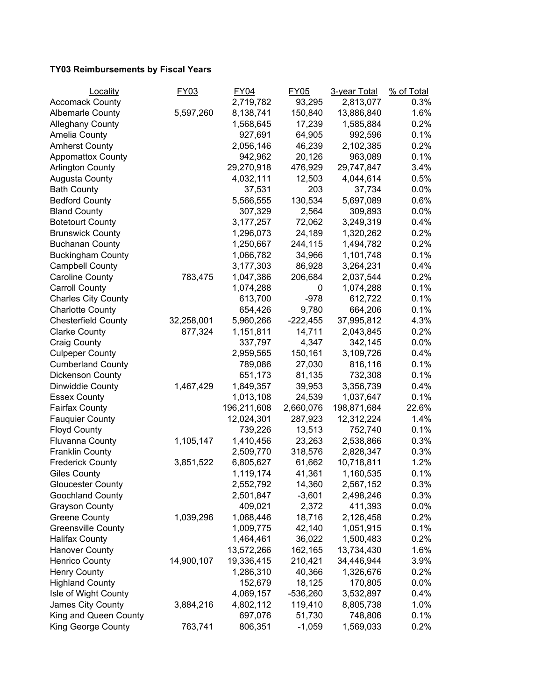## **TY03 Reimbursements by Fiscal Years**

| Locality                   | FY03       | <b>FY04</b> | <b>FY05</b> | 3-year Total | % of Total |
|----------------------------|------------|-------------|-------------|--------------|------------|
| <b>Accomack County</b>     |            | 2,719,782   | 93,295      | 2,813,077    | 0.3%       |
| <b>Albemarle County</b>    | 5,597,260  | 8,138,741   | 150,840     | 13,886,840   | 1.6%       |
| <b>Alleghany County</b>    |            | 1,568,645   | 17,239      | 1,585,884    | 0.2%       |
| <b>Amelia County</b>       |            | 927,691     | 64,905      | 992,596      | 0.1%       |
| <b>Amherst County</b>      |            | 2,056,146   | 46,239      | 2,102,385    | 0.2%       |
| <b>Appomattox County</b>   |            | 942,962     | 20,126      | 963,089      | 0.1%       |
| <b>Arlington County</b>    |            | 29,270,918  | 476,929     | 29,747,847   | 3.4%       |
| <b>Augusta County</b>      |            | 4,032,111   | 12,503      | 4,044,614    | 0.5%       |
| <b>Bath County</b>         |            | 37,531      | 203         | 37,734       | 0.0%       |
| <b>Bedford County</b>      |            | 5,566,555   | 130,534     | 5,697,089    | 0.6%       |
| <b>Bland County</b>        |            | 307,329     | 2,564       | 309,893      | $0.0\%$    |
| <b>Botetourt County</b>    |            | 3,177,257   | 72,062      | 3,249,319    | 0.4%       |
| <b>Brunswick County</b>    |            | 1,296,073   | 24,189      | 1,320,262    | 0.2%       |
| <b>Buchanan County</b>     |            | 1,250,667   | 244,115     | 1,494,782    | 0.2%       |
| <b>Buckingham County</b>   |            | 1,066,782   | 34,966      | 1,101,748    | 0.1%       |
| <b>Campbell County</b>     |            | 3,177,303   | 86,928      | 3,264,231    | 0.4%       |
| <b>Caroline County</b>     | 783,475    | 1,047,386   | 206,684     | 2,037,544    | 0.2%       |
| <b>Carroll County</b>      |            | 1,074,288   | 0           | 1,074,288    | 0.1%       |
| <b>Charles City County</b> |            | 613,700     | $-978$      | 612,722      | 0.1%       |
| <b>Charlotte County</b>    |            | 654,426     | 9,780       | 664,206      | 0.1%       |
| <b>Chesterfield County</b> | 32,258,001 | 5,960,266   | $-222,455$  | 37,995,812   | 4.3%       |
| <b>Clarke County</b>       | 877,324    | 1,151,811   | 14,711      | 2,043,845    | 0.2%       |
| <b>Craig County</b>        |            | 337,797     | 4,347       | 342,145      | 0.0%       |
| <b>Culpeper County</b>     |            | 2,959,565   | 150,161     | 3,109,726    | 0.4%       |
| <b>Cumberland County</b>   |            | 789,086     | 27,030      | 816,116      | 0.1%       |
| Dickenson County           |            | 651,173     | 81,135      | 732,308      | 0.1%       |
| Dinwiddie County           | 1,467,429  | 1,849,357   | 39,953      | 3,356,739    | 0.4%       |
| <b>Essex County</b>        |            | 1,013,108   | 24,539      | 1,037,647    | 0.1%       |
| <b>Fairfax County</b>      |            | 196,211,608 | 2,660,076   | 198,871,684  | 22.6%      |
| <b>Fauquier County</b>     |            | 12,024,301  | 287,923     | 12,312,224   | 1.4%       |
| <b>Floyd County</b>        |            | 739,226     | 13,513      | 752,740      | 0.1%       |
| Fluvanna County            | 1,105,147  | 1,410,456   | 23,263      | 2,538,866    | 0.3%       |
| <b>Franklin County</b>     |            | 2,509,770   | 318,576     | 2,828,347    | 0.3%       |
| <b>Frederick County</b>    | 3,851,522  | 6,805,627   | 61,662      | 10,718,811   | 1.2%       |
| <b>Giles County</b>        |            | 1,119,174   | 41,361      | 1,160,535    | 0.1%       |
| <b>Gloucester County</b>   |            | 2,552,792   | 14,360      | 2,567,152    | 0.3%       |
| Goochland County           |            | 2,501,847   | $-3,601$    | 2,498,246    | 0.3%       |
| <b>Grayson County</b>      |            | 409,021     | 2,372       | 411,393      | $0.0\%$    |
| <b>Greene County</b>       | 1,039,296  | 1,068,446   | 18,716      | 2,126,458    | 0.2%       |
| <b>Greensville County</b>  |            | 1,009,775   | 42,140      | 1,051,915    | 0.1%       |
| <b>Halifax County</b>      |            | 1,464,461   | 36,022      | 1,500,483    | 0.2%       |
| <b>Hanover County</b>      |            | 13,572,266  | 162,165     | 13,734,430   | 1.6%       |
| <b>Henrico County</b>      | 14,900,107 | 19,336,415  | 210,421     | 34,446,944   | 3.9%       |
| <b>Henry County</b>        |            | 1,286,310   | 40,366      | 1,326,676    | 0.2%       |
| <b>Highland County</b>     |            | 152,679     | 18,125      | 170,805      | 0.0%       |
| Isle of Wight County       |            | 4,069,157   | $-536,260$  | 3,532,897    | 0.4%       |
| James City County          | 3,884,216  | 4,802,112   | 119,410     | 8,805,738    | 1.0%       |
| King and Queen County      |            | 697,076     | 51,730      | 748,806      | 0.1%       |
| <b>King George County</b>  | 763,741    | 806,351     | $-1,059$    | 1,569,033    | 0.2%       |
|                            |            |             |             |              |            |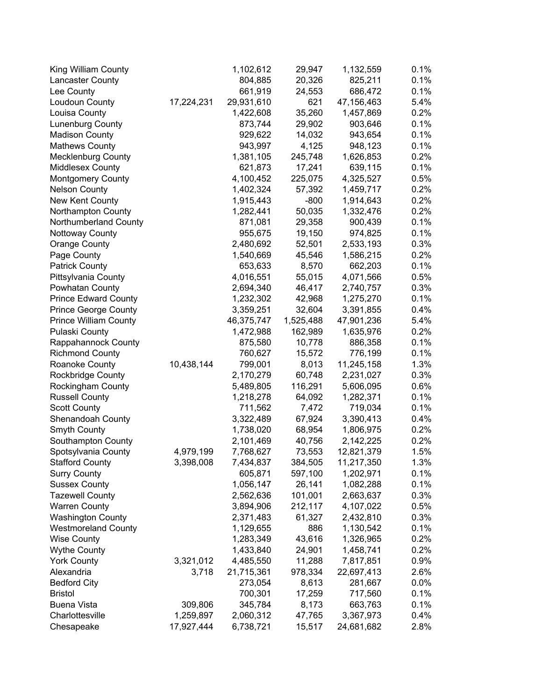| King William County          |            | 1,102,612  | 29,947    | 1,132,559  | 0.1%    |
|------------------------------|------------|------------|-----------|------------|---------|
| Lancaster County             |            | 804,885    | 20,326    | 825,211    | 0.1%    |
| Lee County                   |            | 661,919    | 24,553    | 686,472    | 0.1%    |
| Loudoun County               | 17,224,231 | 29,931,610 | 621       | 47,156,463 | 5.4%    |
| Louisa County                |            | 1,422,608  | 35,260    | 1,457,869  | 0.2%    |
| Lunenburg County             |            | 873,744    | 29,902    | 903,646    | 0.1%    |
| <b>Madison County</b>        |            | 929,622    | 14,032    | 943,654    | 0.1%    |
| <b>Mathews County</b>        |            | 943,997    | 4,125     | 948,123    | 0.1%    |
| <b>Mecklenburg County</b>    |            | 1,381,105  | 245,748   | 1,626,853  | 0.2%    |
| Middlesex County             |            | 621,873    | 17,241    | 639,115    | 0.1%    |
| <b>Montgomery County</b>     |            | 4,100,452  | 225,075   | 4,325,527  | 0.5%    |
| <b>Nelson County</b>         |            | 1,402,324  | 57,392    | 1,459,717  | 0.2%    |
| New Kent County              |            | 1,915,443  | $-800$    | 1,914,643  | 0.2%    |
| Northampton County           |            | 1,282,441  | 50,035    | 1,332,476  | 0.2%    |
| Northumberland County        |            | 871,081    | 29,358    | 900,439    | 0.1%    |
| Nottoway County              |            | 955,675    | 19,150    | 974,825    | 0.1%    |
| <b>Orange County</b>         |            | 2,480,692  | 52,501    | 2,533,193  | 0.3%    |
| Page County                  |            | 1,540,669  | 45,546    | 1,586,215  | 0.2%    |
| <b>Patrick County</b>        |            | 653,633    | 8,570     | 662,203    | 0.1%    |
| Pittsylvania County          |            | 4,016,551  | 55,015    | 4,071,566  | 0.5%    |
| Powhatan County              |            | 2,694,340  | 46,417    | 2,740,757  | 0.3%    |
| <b>Prince Edward County</b>  |            | 1,232,302  | 42,968    | 1,275,270  | 0.1%    |
| <b>Prince George County</b>  |            | 3,359,251  | 32,604    | 3,391,855  | 0.4%    |
| <b>Prince William County</b> |            | 46,375,747 | 1,525,488 | 47,901,236 | 5.4%    |
| Pulaski County               |            | 1,472,988  | 162,989   | 1,635,976  | 0.2%    |
| Rappahannock County          |            | 875,580    | 10,778    | 886,358    | 0.1%    |
| <b>Richmond County</b>       |            | 760,627    | 15,572    | 776,199    | 0.1%    |
| Roanoke County               | 10,438,144 | 799,001    | 8,013     | 11,245,158 | 1.3%    |
| Rockbridge County            |            | 2,170,279  | 60,748    | 2,231,027  | 0.3%    |
| Rockingham County            |            | 5,489,805  | 116,291   | 5,606,095  | 0.6%    |
| <b>Russell County</b>        |            | 1,218,278  | 64,092    | 1,282,371  | 0.1%    |
| <b>Scott County</b>          |            | 711,562    | 7,472     | 719,034    | 0.1%    |
| Shenandoah County            |            | 3,322,489  | 67,924    | 3,390,413  | 0.4%    |
| Smyth County                 |            | 1,738,020  | 68,954    | 1,806,975  | 0.2%    |
| Southampton County           |            | 2,101,469  | 40,756    | 2,142,225  | 0.2%    |
| Spotsylvania County          | 4,979,199  | 7,768,627  | 73,553    | 12,821,379 | 1.5%    |
| <b>Stafford County</b>       | 3,398,008  | 7,434,837  | 384,505   | 11,217,350 | 1.3%    |
| <b>Surry County</b>          |            | 605,871    | 597,100   | 1,202,971  | 0.1%    |
| <b>Sussex County</b>         |            | 1,056,147  | 26,141    | 1,082,288  | 0.1%    |
| <b>Tazewell County</b>       |            | 2,562,636  | 101,001   | 2,663,637  | 0.3%    |
| <b>Warren County</b>         |            | 3,894,906  | 212,117   | 4,107,022  | 0.5%    |
| <b>Washington County</b>     |            | 2,371,483  | 61,327    | 2,432,810  | 0.3%    |
| <b>Westmoreland County</b>   |            | 1,129,655  | 886       | 1,130,542  | 0.1%    |
| <b>Wise County</b>           |            | 1,283,349  | 43,616    | 1,326,965  | 0.2%    |
| <b>Wythe County</b>          |            | 1,433,840  | 24,901    | 1,458,741  | 0.2%    |
| <b>York County</b>           | 3,321,012  | 4,485,550  | 11,288    | 7,817,851  | 0.9%    |
| Alexandria                   | 3,718      | 21,715,361 | 978,334   | 22,697,413 | 2.6%    |
| <b>Bedford City</b>          |            | 273,054    | 8,613     | 281,667    | $0.0\%$ |
| <b>Bristol</b>               |            | 700,301    | 17,259    | 717,560    | 0.1%    |
| <b>Buena Vista</b>           | 309,806    | 345,784    | 8,173     | 663,763    | 0.1%    |
| Charlottesville              | 1,259,897  | 2,060,312  | 47,765    | 3,367,973  | 0.4%    |
| Chesapeake                   | 17,927,444 | 6,738,721  | 15,517    | 24,681,682 | 2.8%    |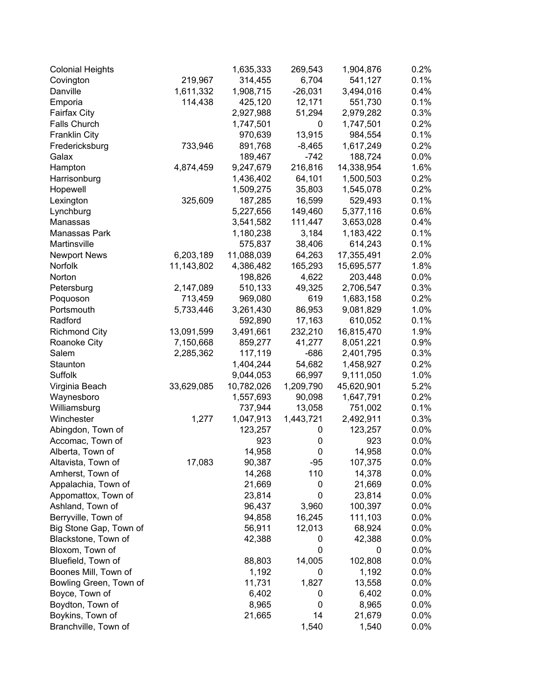| <b>Colonial Heights</b> |            | 1,635,333  | 269,543   | 1,904,876  | 0.2%    |
|-------------------------|------------|------------|-----------|------------|---------|
| Covington               | 219,967    | 314,455    | 6,704     | 541,127    | 0.1%    |
| Danville                | 1,611,332  | 1,908,715  | $-26,031$ | 3,494,016  | 0.4%    |
| Emporia                 | 114,438    | 425,120    | 12,171    | 551,730    | 0.1%    |
| <b>Fairfax City</b>     |            | 2,927,988  | 51,294    | 2,979,282  | 0.3%    |
| Falls Church            |            | 1,747,501  | 0         | 1,747,501  | 0.2%    |
| <b>Franklin City</b>    |            | 970,639    | 13,915    | 984,554    | 0.1%    |
| Fredericksburg          | 733,946    | 891,768    | $-8,465$  | 1,617,249  | 0.2%    |
| Galax                   |            | 189,467    | $-742$    | 188,724    | $0.0\%$ |
| Hampton                 | 4,874,459  | 9,247,679  | 216,816   | 14,338,954 | 1.6%    |
| Harrisonburg            |            | 1,436,402  | 64,101    | 1,500,503  | 0.2%    |
| Hopewell                |            | 1,509,275  | 35,803    | 1,545,078  | 0.2%    |
| Lexington               | 325,609    | 187,285    | 16,599    | 529,493    | 0.1%    |
| Lynchburg               |            | 5,227,656  | 149,460   | 5,377,116  | 0.6%    |
| Manassas                |            | 3,541,582  | 111,447   | 3,653,028  | 0.4%    |
| Manassas Park           |            | 1,180,238  | 3,184     | 1,183,422  | 0.1%    |
| Martinsville            |            | 575,837    | 38,406    | 614,243    | 0.1%    |
| <b>Newport News</b>     | 6,203,189  | 11,088,039 | 64,263    | 17,355,491 | 2.0%    |
| Norfolk                 | 11,143,802 | 4,386,482  | 165,293   | 15,695,577 | 1.8%    |
| Norton                  |            | 198,826    | 4,622     | 203,448    | $0.0\%$ |
| Petersburg              | 2,147,089  | 510,133    | 49,325    | 2,706,547  | 0.3%    |
| Poquoson                | 713,459    | 969,080    | 619       | 1,683,158  | 0.2%    |
| Portsmouth              | 5,733,446  | 3,261,430  | 86,953    | 9,081,829  | 1.0%    |
| Radford                 |            | 592,890    | 17,163    | 610,052    | 0.1%    |
| <b>Richmond City</b>    | 13,091,599 | 3,491,661  | 232,210   | 16,815,470 | 1.9%    |
| Roanoke City            | 7,150,668  | 859,277    | 41,277    | 8,051,221  | 0.9%    |
| Salem                   | 2,285,362  | 117,119    | $-686$    | 2,401,795  | 0.3%    |
| Staunton                |            | 1,404,244  | 54,682    | 1,458,927  | 0.2%    |
| Suffolk                 |            | 9,044,053  | 66,997    | 9,111,050  | 1.0%    |
| Virginia Beach          | 33,629,085 | 10,782,026 | 1,209,790 | 45,620,901 | 5.2%    |
| Waynesboro              |            | 1,557,693  | 90,098    | 1,647,791  | 0.2%    |
| Williamsburg            |            | 737,944    | 13,058    | 751,002    | 0.1%    |
| Winchester              | 1,277      | 1,047,913  | 1,443,721 | 2,492,911  | 0.3%    |
| Abingdon, Town of       |            | 123,257    | 0         | 123,257    | 0.0%    |
| Accomac, Town of        |            | 923        | 0         | 923        | 0.0%    |
| Alberta, Town of        |            | 14,958     | 0         | 14,958     | 0.0%    |
| Altavista, Town of      | 17,083     | 90,387     | $-95$     | 107,375    | $0.0\%$ |
| Amherst, Town of        |            | 14,268     | 110       | 14,378     | $0.0\%$ |
| Appalachia, Town of     |            | 21,669     | 0         | 21,669     | $0.0\%$ |
| Appomattox, Town of     |            | 23,814     | 0         | 23,814     | $0.0\%$ |
| Ashland, Town of        |            | 96,437     | 3,960     | 100,397    | $0.0\%$ |
| Berryville, Town of     |            | 94,858     | 16,245    | 111,103    | $0.0\%$ |
| Big Stone Gap, Town of  |            | 56,911     | 12,013    | 68,924     | $0.0\%$ |
| Blackstone, Town of     |            | 42,388     | 0         | 42,388     | $0.0\%$ |
| Bloxom, Town of         |            |            | 0         | 0          | $0.0\%$ |
| Bluefield, Town of      |            | 88,803     | 14,005    | 102,808    | $0.0\%$ |
| Boones Mill, Town of    |            | 1,192      | 0         | 1,192      | 0.0%    |
| Bowling Green, Town of  |            | 11,731     | 1,827     | 13,558     | 0.0%    |
| Boyce, Town of          |            | 6,402      | 0         | 6,402      | 0.0%    |
| Boydton, Town of        |            | 8,965      | 0         | 8,965      | $0.0\%$ |
| Boykins, Town of        |            | 21,665     | 14        | 21,679     | $0.0\%$ |
| Branchville, Town of    |            |            | 1,540     | 1,540      | $0.0\%$ |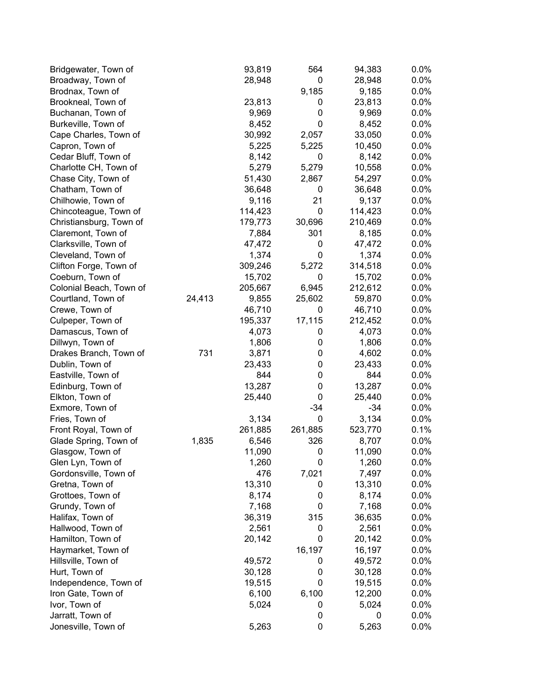| Bridgewater, Town of    |        | 93,819  | 564     | 94,383  | 0.0%    |
|-------------------------|--------|---------|---------|---------|---------|
| Broadway, Town of       |        | 28,948  | 0       | 28,948  | 0.0%    |
| Brodnax, Town of        |        |         | 9,185   | 9,185   | 0.0%    |
| Brookneal, Town of      |        | 23,813  | 0       | 23,813  | 0.0%    |
| Buchanan, Town of       |        | 9,969   | 0       | 9,969   | 0.0%    |
| Burkeville, Town of     |        | 8,452   | 0       | 8,452   | 0.0%    |
| Cape Charles, Town of   |        | 30,992  | 2,057   | 33,050  | 0.0%    |
| Capron, Town of         |        | 5,225   | 5,225   | 10,450  | 0.0%    |
| Cedar Bluff, Town of    |        | 8,142   | 0       | 8,142   | 0.0%    |
| Charlotte CH, Town of   |        | 5,279   | 5,279   | 10,558  | 0.0%    |
| Chase City, Town of     |        | 51,430  | 2,867   | 54,297  | 0.0%    |
| Chatham, Town of        |        | 36,648  | 0       | 36,648  | 0.0%    |
| Chilhowie, Town of      |        | 9,116   | 21      | 9,137   | 0.0%    |
| Chincoteague, Town of   |        | 114,423 | 0       | 114,423 | 0.0%    |
| Christiansburg, Town of |        | 179,773 | 30,696  | 210,469 | 0.0%    |
| Claremont, Town of      |        | 7,884   | 301     | 8,185   | 0.0%    |
| Clarksville, Town of    |        | 47,472  | 0       | 47,472  | 0.0%    |
| Cleveland, Town of      |        | 1,374   | 0       | 1,374   | 0.0%    |
| Clifton Forge, Town of  |        | 309,246 | 5,272   | 314,518 | 0.0%    |
| Coeburn, Town of        |        | 15,702  | 0       | 15,702  | 0.0%    |
| Colonial Beach, Town of |        | 205,667 | 6,945   | 212,612 | 0.0%    |
| Courtland, Town of      | 24,413 | 9,855   | 25,602  | 59,870  | 0.0%    |
| Crewe, Town of          |        | 46,710  | 0       | 46,710  | 0.0%    |
| Culpeper, Town of       |        | 195,337 | 17,115  | 212,452 | 0.0%    |
| Damascus, Town of       |        | 4,073   | 0       | 4,073   | 0.0%    |
| Dillwyn, Town of        |        | 1,806   | 0       | 1,806   | 0.0%    |
| Drakes Branch, Town of  | 731    | 3,871   | 0       | 4,602   | 0.0%    |
| Dublin, Town of         |        | 23,433  | 0       | 23,433  | 0.0%    |
| Eastville, Town of      |        | 844     | 0       | 844     | 0.0%    |
| Edinburg, Town of       |        | 13,287  | 0       | 13,287  | 0.0%    |
| Elkton, Town of         |        | 25,440  | 0       | 25,440  | 0.0%    |
| Exmore, Town of         |        |         | $-34$   | $-34$   | 0.0%    |
| Fries, Town of          |        | 3,134   | 0       | 3,134   | 0.0%    |
| Front Royal, Town of    |        | 261,885 | 261,885 | 523,770 | 0.1%    |
| Glade Spring, Town of   | 1,835  | 6,546   | 326     | 8,707   | 0.0%    |
| Glasgow, Town of        |        | 11,090  | 0       | 11,090  | 0.0%    |
| Glen Lyn, Town of       |        | 1,260   | 0       | 1,260   | 0.0%    |
| Gordonsville, Town of   |        | 476     | 7,021   | 7,497   | $0.0\%$ |
| Gretna, Town of         |        | 13,310  | 0       | 13,310  | 0.0%    |
| Grottoes, Town of       |        | 8,174   | 0       | 8,174   | 0.0%    |
| Grundy, Town of         |        | 7,168   | 0       | 7,168   | 0.0%    |
| Halifax, Town of        |        | 36,319  | 315     | 36,635  | 0.0%    |
| Hallwood, Town of       |        | 2,561   | 0       | 2,561   | 0.0%    |
| Hamilton, Town of       |        | 20,142  | 0       | 20,142  | 0.0%    |
| Haymarket, Town of      |        |         | 16,197  | 16,197  | 0.0%    |
| Hillsville, Town of     |        | 49,572  | 0       | 49,572  | 0.0%    |
| Hurt, Town of           |        | 30,128  | 0       | 30,128  | 0.0%    |
| Independence, Town of   |        | 19,515  | 0       | 19,515  | $0.0\%$ |
| Iron Gate, Town of      |        | 6,100   | 6,100   | 12,200  | 0.0%    |
| Ivor, Town of           |        | 5,024   | 0       | 5,024   | $0.0\%$ |
| Jarratt, Town of        |        |         | 0       | 0       | $0.0\%$ |
| Jonesville, Town of     |        | 5,263   | 0       | 5,263   | $0.0\%$ |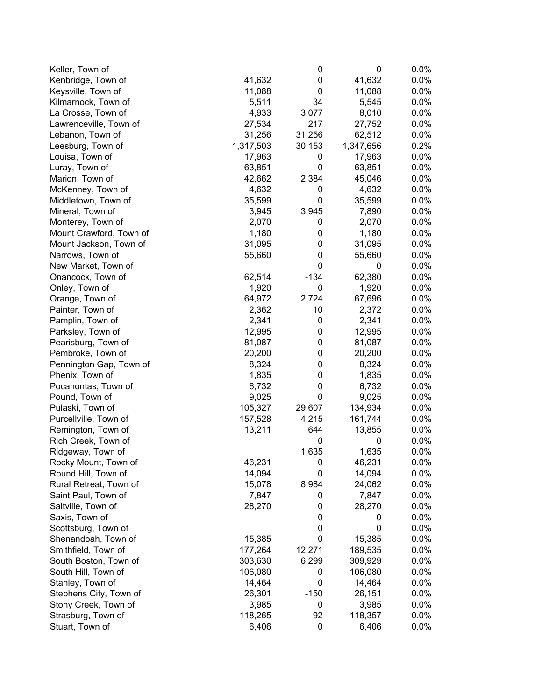| Keller, Town of         |           | 0      | 0         | 0.0%    |
|-------------------------|-----------|--------|-----------|---------|
| Kenbridge, Town of      | 41,632    | 0      | 41,632    | 0.0%    |
| Keysville, Town of      | 11,088    | 0      | 11,088    | 0.0%    |
| Kilmarnock, Town of     | 5,511     | 34     | 5,545     | 0.0%    |
| La Crosse, Town of      | 4,933     | 3,077  | 8,010     | 0.0%    |
| Lawrenceville, Town of  | 27,534    | 217    | 27,752    | 0.0%    |
| Lebanon, Town of        | 31,256    | 31,256 | 62,512    | 0.0%    |
| Leesburg, Town of       | 1,317,503 | 30,153 | 1,347,656 | 0.2%    |
| Louisa, Town of         | 17,963    | 0      | 17,963    | 0.0%    |
| Luray, Town of          | 63,851    | 0      | 63,851    | 0.0%    |
| Marion, Town of         | 42,662    | 2,384  | 45,046    | 0.0%    |
| McKenney, Town of       | 4,632     | 0      | 4,632     | 0.0%    |
| Middletown, Town of     | 35,599    | 0      | 35,599    | 0.0%    |
| Mineral, Town of        | 3,945     | 3,945  | 7,890     | 0.0%    |
| Monterey, Town of       | 2,070     | 0      | 2,070     | 0.0%    |
| Mount Crawford, Town of | 1,180     | 0      | 1,180     | 0.0%    |
| Mount Jackson, Town of  | 31,095    | 0      | 31,095    | 0.0%    |
| Narrows, Town of        | 55,660    | 0      | 55,660    | 0.0%    |
| New Market, Town of     |           | 0      | 0         | 0.0%    |
| Onancock, Town of       | 62,514    | $-134$ | 62,380    | 0.0%    |
| Onley, Town of          | 1,920     | 0      | 1,920     | 0.0%    |
| Orange, Town of         | 64,972    | 2,724  | 67,696    | 0.0%    |
| Painter, Town of        | 2,362     | 10     | 2,372     | 0.0%    |
| Pamplin, Town of        | 2,341     | 0      | 2,341     | 0.0%    |
| Parksley, Town of       | 12,995    | 0      | 12,995    | $0.0\%$ |
| Pearisburg, Town of     | 81,087    | 0      | 81,087    | 0.0%    |
| Pembroke, Town of       | 20,200    | 0      | 20,200    | 0.0%    |
| Pennington Gap, Town of | 8,324     | 0      | 8,324     | 0.0%    |
| Phenix, Town of         | 1,835     | 0      | 1,835     | 0.0%    |
| Pocahontas, Town of     | 6,732     | 0      | 6,732     | 0.0%    |
| Pound, Town of          | 9,025     | 0      | 9,025     | 0.0%    |
| Pulaski, Town of        | 105,327   | 29,607 | 134,934   | 0.0%    |
| Purcellville, Town of   | 157,528   | 4,215  | 161,744   | 0.0%    |
| Remington, Town of      | 13,211    | 644    | 13,855    | 0.0%    |
| Rich Creek, Town of     |           | 0      | 0         | 0.0%    |
| Ridgeway, Town of       |           | 1,635  | 1,635     | 0.0%    |
| Rocky Mount, I own of   | 46,231    | O      | 46,231    | 0.0%    |
| Round Hill, Town of     | 14,094    | 0      | 14,094    | 0.0%    |
| Rural Retreat, Town of  | 15,078    | 8,984  | 24,062    | 0.0%    |
| Saint Paul, Town of     | 7,847     | 0      | 7,847     | 0.0%    |
| Saltville, Town of      | 28,270    | 0      | 28,270    | 0.0%    |
| Saxis, Town of          |           | 0      | 0         | 0.0%    |
| Scottsburg, Town of     |           | 0      | 0         | 0.0%    |
| Shenandoah, Town of     | 15,385    | 0      | 15,385    | 0.0%    |
| Smithfield, Town of     | 177,264   | 12,271 | 189,535   | 0.0%    |
| South Boston, Town of   | 303,630   | 6,299  | 309,929   | 0.0%    |
| South Hill, Town of     | 106,080   | 0      | 106,080   | 0.0%    |
| Stanley, Town of        | 14,464    | 0      | 14,464    | 0.0%    |
| Stephens City, Town of  | 26,301    | $-150$ | 26,151    | 0.0%    |
| Stony Creek, Town of    | 3,985     | 0      | 3,985     | 0.0%    |
| Strasburg, Town of      | 118,265   | 92     | 118,357   | $0.0\%$ |
| Stuart, Town of         | 6,406     | 0      | 6,406     | 0.0%    |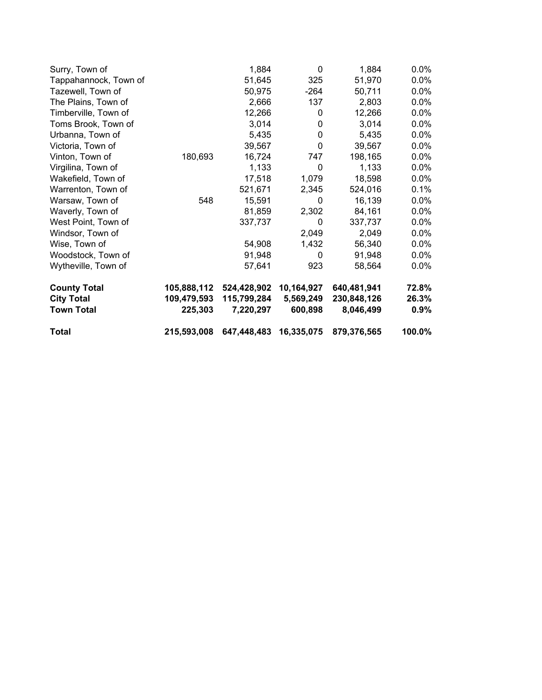| Surry, Town of        |             | 1,884       | 0          | 1,884       | $0.0\%$ |
|-----------------------|-------------|-------------|------------|-------------|---------|
| Tappahannock, Town of |             | 51,645      | 325        | 51,970      | $0.0\%$ |
| Tazewell, Town of     |             | 50,975      | -264       | 50,711      | $0.0\%$ |
| The Plains, Town of   |             | 2,666       | 137        | 2,803       | $0.0\%$ |
| Timberville, Town of  |             | 12,266      | 0          | 12,266      | $0.0\%$ |
| Toms Brook, Town of   |             | 3,014       | 0          | 3,014       | $0.0\%$ |
| Urbanna, Town of      |             | 5,435       | 0          | 5,435       | $0.0\%$ |
| Victoria, Town of     |             | 39,567      | 0          | 39,567      | $0.0\%$ |
| Vinton, Town of       | 180,693     | 16,724      | 747        | 198,165     | $0.0\%$ |
| Virgilina, Town of    |             | 1,133       | 0          | 1,133       | $0.0\%$ |
| Wakefield, Town of    |             | 17,518      | 1,079      | 18,598      | $0.0\%$ |
| Warrenton, Town of    |             | 521,671     | 2,345      | 524,016     | 0.1%    |
| Warsaw, Town of       | 548         | 15,591      | 0          | 16,139      | $0.0\%$ |
| Waverly, Town of      |             | 81,859      | 2,302      | 84,161      | $0.0\%$ |
| West Point, Town of   |             | 337,737     | 0          | 337,737     | $0.0\%$ |
| Windsor, Town of      |             |             | 2,049      | 2,049       | $0.0\%$ |
| Wise, Town of         |             | 54,908      | 1,432      | 56,340      | $0.0\%$ |
| Woodstock, Town of    |             | 91,948      | 0          | 91,948      | $0.0\%$ |
| Wytheville, Town of   |             | 57,641      | 923        | 58,564      | $0.0\%$ |
| <b>County Total</b>   | 105,888,112 | 524,428,902 | 10,164,927 | 640,481,941 | 72.8%   |
| <b>City Total</b>     | 109,479,593 | 115,799,284 | 5,569,249  | 230,848,126 | 26.3%   |
| <b>Town Total</b>     | 225,303     | 7,220,297   | 600,898    | 8,046,499   | $0.9\%$ |
| <b>Total</b>          | 215,593,008 | 647,448,483 | 16,335,075 | 879,376,565 | 100.0%  |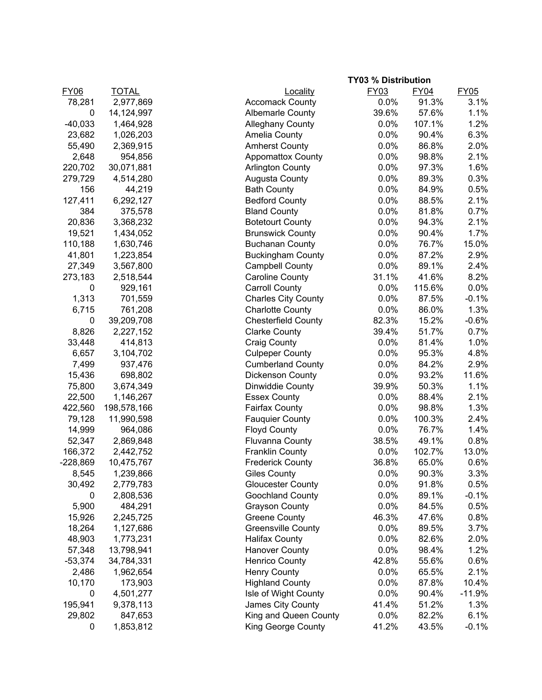|             |              | <b>TY03 % Distribution</b>          |        |             |
|-------------|--------------|-------------------------------------|--------|-------------|
| <b>FY06</b> | <b>TOTAL</b> | <b>FY03</b><br>Locality             | FY04   | <b>FY05</b> |
| 78,281      | 2,977,869    | <b>Accomack County</b><br>0.0%      | 91.3%  | 3.1%        |
| $\mathbf 0$ | 14,124,997   | 39.6%<br><b>Albemarle County</b>    | 57.6%  | 1.1%        |
| $-40,033$   | 1,464,928    | 0.0%<br><b>Alleghany County</b>     | 107.1% | 1.2%        |
| 23,682      | 1,026,203    | 0.0%<br>Amelia County               | 90.4%  | 6.3%        |
| 55,490      | 2,369,915    | 0.0%<br><b>Amherst County</b>       | 86.8%  | 2.0%        |
| 2,648       | 954,856      | <b>Appomattox County</b><br>0.0%    | 98.8%  | 2.1%        |
| 220,702     | 30,071,881   | 0.0%<br><b>Arlington County</b>     | 97.3%  | 1.6%        |
| 279,729     | 4,514,280    | 0.0%<br><b>Augusta County</b>       | 89.3%  | 0.3%        |
| 156         | 44,219       | <b>Bath County</b><br>0.0%          | 84.9%  | 0.5%        |
| 127,411     | 6,292,127    | <b>Bedford County</b><br>0.0%       | 88.5%  | 2.1%        |
| 384         | 375,578      | <b>Bland County</b><br>0.0%         | 81.8%  | 0.7%        |
| 20,836      | 3,368,232    | 0.0%<br><b>Botetourt County</b>     | 94.3%  | 2.1%        |
| 19,521      | 1,434,052    | 0.0%<br><b>Brunswick County</b>     | 90.4%  | 1.7%        |
| 110,188     | 1,630,746    | 0.0%<br><b>Buchanan County</b>      | 76.7%  | 15.0%       |
| 41,801      | 1,223,854    | 0.0%<br><b>Buckingham County</b>    | 87.2%  | 2.9%        |
| 27,349      | 3,567,800    | <b>Campbell County</b><br>0.0%      | 89.1%  | 2.4%        |
| 273,183     | 2,518,544    | <b>Caroline County</b><br>31.1%     | 41.6%  | 8.2%        |
| $\mathbf 0$ | 929,161      | <b>Carroll County</b><br>0.0%       | 115.6% | 0.0%        |
|             |              |                                     | 87.5%  |             |
| 1,313       | 701,559      | <b>Charles City County</b><br>0.0%  |        | $-0.1%$     |
| 6,715       | 761,208      | 0.0%<br><b>Charlotte County</b>     | 86.0%  | 1.3%        |
| $\pmb{0}$   | 39,209,708   | 82.3%<br><b>Chesterfield County</b> | 15.2%  | $-0.6%$     |
| 8,826       | 2,227,152    | <b>Clarke County</b><br>39.4%       | 51.7%  | 0.7%        |
| 33,448      | 414,813      | Craig County<br>0.0%                | 81.4%  | 1.0%        |
| 6,657       | 3,104,702    | <b>Culpeper County</b><br>0.0%      | 95.3%  | 4.8%        |
| 7,499       | 937,476      | <b>Cumberland County</b><br>0.0%    | 84.2%  | 2.9%        |
| 15,436      | 698,802      | 0.0%<br>Dickenson County            | 93.2%  | 11.6%       |
| 75,800      | 3,674,349    | 39.9%<br>Dinwiddie County           | 50.3%  | 1.1%        |
| 22,500      | 1,146,267    | <b>Essex County</b><br>0.0%         | 88.4%  | 2.1%        |
| 422,560     | 198,578,166  | <b>Fairfax County</b><br>0.0%       | 98.8%  | 1.3%        |
| 79,128      | 11,990,598   | 0.0%<br><b>Fauquier County</b>      | 100.3% | 2.4%        |
| 14,999      | 964,086      | <b>Floyd County</b><br>0.0%         | 76.7%  | 1.4%        |
| 52,347      | 2,869,848    | 38.5%<br><b>Fluvanna County</b>     | 49.1%  | 0.8%        |
| 166,372     | 2,442,752    | <b>Franklin County</b><br>0.0%      | 102.7% | 13.0%       |
| $-228,869$  | 10,475,767   | <b>Frederick County</b><br>36.8%    | 65.0%  | 0.6%        |
| 8,545       | 1,239,866    | <b>Giles County</b><br>0.0%         | 90.3%  | 3.3%        |
| 30,492      | 2,779,783    | 0.0%<br><b>Gloucester County</b>    | 91.8%  | 0.5%        |
| 0           | 2,808,536    | 0.0%<br>Goochland County            | 89.1%  | $-0.1%$     |
| 5,900       | 484,291      | 0.0%<br><b>Grayson County</b>       | 84.5%  | 0.5%        |
| 15,926      | 2,245,725    | <b>Greene County</b><br>46.3%       | 47.6%  | 0.8%        |
| 18,264      | 1,127,686    | <b>Greensville County</b><br>0.0%   | 89.5%  | 3.7%        |
| 48,903      | 1,773,231    | <b>Halifax County</b><br>0.0%       | 82.6%  | 2.0%        |
| 57,348      | 13,798,941   | 0.0%<br><b>Hanover County</b>       | 98.4%  | 1.2%        |
| $-53,374$   | 34,784,331   | <b>Henrico County</b><br>42.8%      | 55.6%  | 0.6%        |
| 2,486       | 1,962,654    | 0.0%<br><b>Henry County</b>         | 65.5%  | 2.1%        |
| 10,170      | 173,903      | 0.0%<br><b>Highland County</b>      | 87.8%  | 10.4%       |
| 0           | 4,501,277    | 0.0%<br>Isle of Wight County        | 90.4%  | $-11.9%$    |
| 195,941     | 9,378,113    | 41.4%<br>James City County          | 51.2%  | 1.3%        |
| 29,802      | 847,653      | King and Queen County<br>0.0%       | 82.2%  | 6.1%        |
| 0           | 1,853,812    | King George County<br>41.2%         | 43.5%  | $-0.1%$     |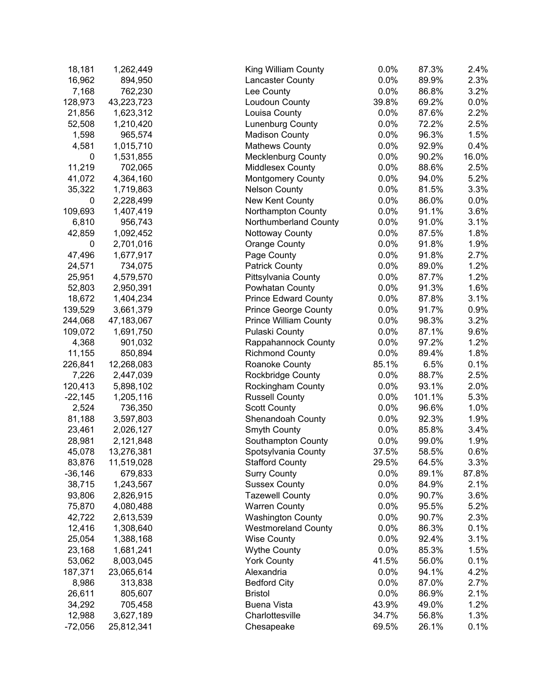| 18,181           | 1,262,449  | King William County                       | 0.0%  | 87.3%          | 2.4%         |
|------------------|------------|-------------------------------------------|-------|----------------|--------------|
| 16,962           | 894,950    | Lancaster County                          | 0.0%  | 89.9%          | 2.3%         |
| 7,168            | 762,230    | Lee County                                | 0.0%  | 86.8%          | 3.2%         |
| 128,973          | 43,223,723 | Loudoun County                            | 39.8% | 69.2%          | 0.0%         |
| 21,856           | 1,623,312  | Louisa County                             | 0.0%  | 87.6%          | 2.2%         |
| 52,508           | 1,210,420  | Lunenburg County                          | 0.0%  | 72.2%          | 2.5%         |
| 1,598            | 965,574    | <b>Madison County</b>                     | 0.0%  | 96.3%          | 1.5%         |
| 4,581            | 1,015,710  | <b>Mathews County</b>                     | 0.0%  | 92.9%          | 0.4%         |
| 0                | 1,531,855  | <b>Mecklenburg County</b>                 | 0.0%  | 90.2%          | 16.0%        |
| 11,219           | 702,065    | Middlesex County                          | 0.0%  | 88.6%          | 2.5%         |
| 41,072           | 4,364,160  | <b>Montgomery County</b>                  | 0.0%  | 94.0%          | 5.2%         |
| 35,322           | 1,719,863  | <b>Nelson County</b>                      | 0.0%  | 81.5%          | 3.3%         |
| 0                | 2,228,499  | New Kent County                           | 0.0%  | 86.0%          | 0.0%         |
| 109,693          | 1,407,419  | Northampton County                        | 0.0%  | 91.1%          | 3.6%         |
| 6,810            | 956,743    | Northumberland County                     | 0.0%  | 91.0%          | 3.1%         |
| 42,859           | 1,092,452  | Nottoway County                           | 0.0%  | 87.5%          | 1.8%         |
| 0                | 2,701,016  | <b>Orange County</b>                      | 0.0%  | 91.8%          | 1.9%         |
| 47,496           | 1,677,917  | Page County                               | 0.0%  | 91.8%          | 2.7%         |
| 24,571           | 734,075    | <b>Patrick County</b>                     | 0.0%  | 89.0%          | 1.2%         |
| 25,951           | 4,579,570  | Pittsylvania County                       | 0.0%  | 87.7%          | 1.2%         |
| 52,803           | 2,950,391  | Powhatan County                           | 0.0%  | 91.3%          | 1.6%         |
| 18,672           | 1,404,234  | <b>Prince Edward County</b>               | 0.0%  | 87.8%          | 3.1%         |
| 139,529          | 3,661,379  | <b>Prince George County</b>               | 0.0%  | 91.7%          | 0.9%         |
| 244,068          | 47,183,067 | <b>Prince William County</b>              | 0.0%  | 98.3%          | 3.2%         |
| 109,072          | 1,691,750  | Pulaski County                            | 0.0%  | 87.1%          | 9.6%         |
| 4,368            | 901,032    | Rappahannock County                       | 0.0%  | 97.2%          | 1.2%         |
| 11,155           | 850,894    | <b>Richmond County</b>                    | 0.0%  | 89.4%          | 1.8%         |
| 226,841          | 12,268,083 | Roanoke County                            | 85.1% | 6.5%           | 0.1%         |
| 7,226            | 2,447,039  | Rockbridge County                         | 0.0%  | 88.7%          | 2.5%         |
| 120,413          | 5,898,102  | Rockingham County                         | 0.0%  | 93.1%          | 2.0%         |
| $-22,145$        | 1,205,116  | <b>Russell County</b>                     | 0.0%  | 101.1%         | 5.3%         |
| 2,524            | 736,350    | <b>Scott County</b>                       | 0.0%  | 96.6%          | 1.0%         |
| 81,188           | 3,597,803  | Shenandoah County                         | 0.0%  | 92.3%          | 1.9%         |
| 23,461           | 2,026,127  | Smyth County                              | 0.0%  | 85.8%          | 3.4%         |
| 28,981           | 2,121,848  |                                           | 0.0%  | 99.0%          | 1.9%         |
|                  | 13,276,381 | Southampton County<br>Spotsylvania County | 37.5% |                |              |
| 45,078<br>83,876 | 11,519,028 | <b>Stafford County</b>                    | 29.5% | 58.5%<br>64.5% | 0.6%<br>3.3% |
|                  |            | <b>Surry County</b>                       |       | 89.1%          |              |
| $-36,146$        | 679,833    |                                           | 0.0%  |                | 87.8%        |
| 38,715           | 1,243,567  | <b>Sussex County</b>                      | 0.0%  | 84.9%          | 2.1%         |
| 93,806           | 2,826,915  | <b>Tazewell County</b>                    | 0.0%  | 90.7%          | 3.6%         |
| 75,870           | 4,080,488  | <b>Warren County</b>                      | 0.0%  | 95.5%          | 5.2%         |
| 42,722           | 2,613,539  | <b>Washington County</b>                  | 0.0%  | 90.7%          | 2.3%         |
| 12,416           | 1,308,640  | <b>Westmoreland County</b>                | 0.0%  | 86.3%          | 0.1%         |
| 25,054           | 1,388,168  | <b>Wise County</b>                        | 0.0%  | 92.4%          | 3.1%         |
| 23,168           | 1,681,241  | <b>Wythe County</b>                       | 0.0%  | 85.3%          | 1.5%         |
| 53,062           | 8,003,045  | <b>York County</b>                        | 41.5% | 56.0%          | 0.1%         |
| 187,371          | 23,065,614 | Alexandria                                | 0.0%  | 94.1%          | 4.2%         |
| 8,986            | 313,838    | <b>Bedford City</b>                       | 0.0%  | 87.0%          | 2.7%         |
| 26,611           | 805,607    | <b>Bristol</b>                            | 0.0%  | 86.9%          | 2.1%         |
| 34,292           | 705,458    | <b>Buena Vista</b>                        | 43.9% | 49.0%          | 1.2%         |
| 12,988           | 3,627,189  | Charlottesville                           | 34.7% | 56.8%          | 1.3%         |
| $-72,056$        | 25,812,341 | Chesapeake                                | 69.5% | 26.1%          | 0.1%         |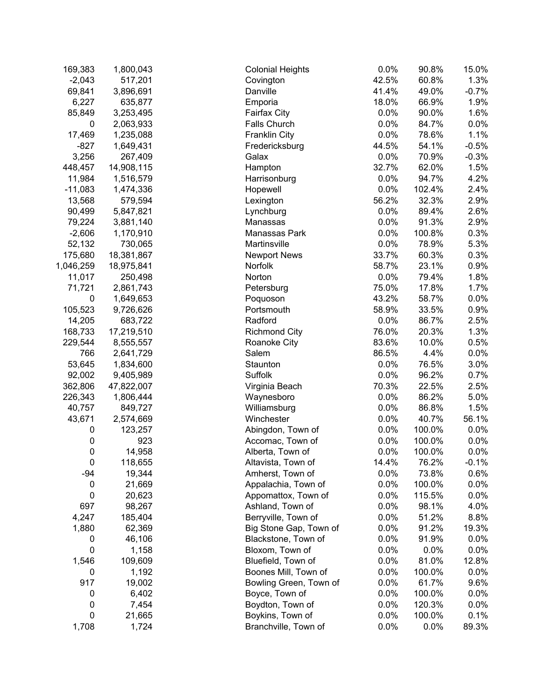| 169,383     | 1,800,043  | <b>Colonial Heights</b> | 0.0%  | 90.8%  | 15.0%   |
|-------------|------------|-------------------------|-------|--------|---------|
| $-2,043$    | 517,201    | Covington               | 42.5% | 60.8%  | 1.3%    |
| 69,841      | 3,896,691  | Danville                | 41.4% | 49.0%  | $-0.7%$ |
| 6,227       | 635,877    | Emporia                 | 18.0% | 66.9%  | 1.9%    |
| 85,849      | 3,253,495  | Fairfax City            | 0.0%  | 90.0%  | 1.6%    |
| 0           | 2,063,933  | Falls Church            | 0.0%  | 84.7%  | 0.0%    |
| 17,469      | 1,235,088  | <b>Franklin City</b>    | 0.0%  | 78.6%  | 1.1%    |
| $-827$      | 1,649,431  | Fredericksburg          | 44.5% | 54.1%  | $-0.5%$ |
| 3,256       | 267,409    | Galax                   | 0.0%  | 70.9%  | $-0.3%$ |
| 448,457     | 14,908,115 | Hampton                 | 32.7% | 62.0%  | 1.5%    |
| 11,984      | 1,516,579  | Harrisonburg            | 0.0%  | 94.7%  | 4.2%    |
| $-11,083$   | 1,474,336  | Hopewell                | 0.0%  | 102.4% | 2.4%    |
| 13,568      | 579,594    | Lexington               | 56.2% | 32.3%  | 2.9%    |
| 90,499      | 5,847,821  | Lynchburg               | 0.0%  | 89.4%  | 2.6%    |
| 79,224      | 3,881,140  | Manassas                | 0.0%  | 91.3%  | 2.9%    |
| $-2,606$    | 1,170,910  | Manassas Park           | 0.0%  | 100.8% | 0.3%    |
| 52,132      | 730,065    | Martinsville            | 0.0%  | 78.9%  | 5.3%    |
| 175,680     | 18,381,867 | <b>Newport News</b>     | 33.7% | 60.3%  | 0.3%    |
| 1,046,259   | 18,975,841 | Norfolk                 | 58.7% | 23.1%  | 0.9%    |
| 11,017      | 250,498    | Norton                  | 0.0%  | 79.4%  | 1.8%    |
| 71,721      | 2,861,743  | Petersburg              | 75.0% | 17.8%  | 1.7%    |
| 0           | 1,649,653  | Poquoson                | 43.2% | 58.7%  | 0.0%    |
| 105,523     | 9,726,626  | Portsmouth              | 58.9% | 33.5%  | 0.9%    |
| 14,205      | 683,722    | Radford                 | 0.0%  | 86.7%  | 2.5%    |
| 168,733     | 17,219,510 | <b>Richmond City</b>    | 76.0% | 20.3%  | 1.3%    |
| 229,544     | 8,555,557  | Roanoke City            | 83.6% | 10.0%  | 0.5%    |
| 766         | 2,641,729  | Salem                   | 86.5% | 4.4%   | 0.0%    |
| 53,645      | 1,834,600  | Staunton                | 0.0%  | 76.5%  | 3.0%    |
| 92,002      | 9,405,989  | Suffolk                 | 0.0%  | 96.2%  | 0.7%    |
| 362,806     | 47,822,007 | Virginia Beach          | 70.3% | 22.5%  | 2.5%    |
| 226,343     | 1,806,444  | Waynesboro              | 0.0%  | 86.2%  | 5.0%    |
| 40,757      | 849,727    | Williamsburg            | 0.0%  | 86.8%  | 1.5%    |
| 43,671      | 2,574,669  | Winchester              | 0.0%  | 40.7%  | 56.1%   |
| 0           | 123,257    | Abingdon, Town of       | 0.0%  | 100.0% | 0.0%    |
| 0           | 923        | Accomac, Town of        | 0.0%  | 100.0% | 0.0%    |
| $\pmb{0}$   | 14,958     | Alberta, Town of        | 0.0%  | 100.0% | 0.0%    |
| $\pmb{0}$   | 118,655    | Altavista, Town of      | 14.4% | 76.2%  | $-0.1%$ |
| $-94$       | 19,344     | Amherst, Town of        | 0.0%  | 73.8%  | 0.6%    |
| 0           | 21,669     | Appalachia, Town of     | 0.0%  | 100.0% | 0.0%    |
| $\mathbf 0$ | 20,623     | Appomattox, Town of     | 0.0%  | 115.5% | 0.0%    |
| 697         | 98,267     | Ashland, Town of        | 0.0%  | 98.1%  | 4.0%    |
| 4,247       | 185,404    | Berryville, Town of     | 0.0%  | 51.2%  | 8.8%    |
| 1,880       | 62,369     | Big Stone Gap, Town of  | 0.0%  | 91.2%  | 19.3%   |
| 0           | 46,106     | Blackstone, Town of     | 0.0%  | 91.9%  | 0.0%    |
| 0           | 1,158      | Bloxom, Town of         | 0.0%  | 0.0%   | 0.0%    |
| 1,546       | 109,609    | Bluefield, Town of      | 0.0%  | 81.0%  | 12.8%   |
| 0           | 1,192      | Boones Mill, Town of    | 0.0%  | 100.0% | 0.0%    |
| 917         | 19,002     | Bowling Green, Town of  | 0.0%  | 61.7%  | 9.6%    |
| 0           | 6,402      | Boyce, Town of          | 0.0%  | 100.0% | 0.0%    |
| 0           | 7,454      | Boydton, Town of        | 0.0%  | 120.3% | 0.0%    |
| $\pmb{0}$   | 21,665     | Boykins, Town of        | 0.0%  | 100.0% | 0.1%    |
|             |            |                         |       |        |         |
| 1,708       | 1,724      | Branchville, Town of    | 0.0%  | 0.0%   | 89.3%   |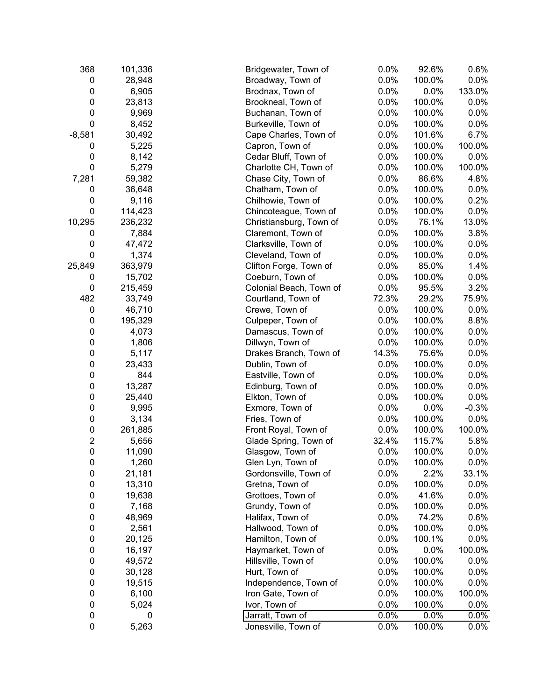| 0.0%<br>100.0%<br>28,948<br>Broadway, Town of<br>0.0%<br>0<br>0.0%<br>133.0%<br>0<br>6,905<br>0.0%<br>Brodnax, Town of<br>$\pmb{0}$<br>23,813<br>0.0%<br>100.0%<br>0.0%<br>Brookneal, Town of<br>0.0%<br>0<br>9,969<br>Buchanan, Town of<br>100.0%<br>0.0%<br>$\mathbf 0$<br>0.0%<br>8,452<br>Burkeville, Town of<br>100.0%<br>0.0%<br>$-8,581$<br>30,492<br>Cape Charles, Town of<br>0.0%<br>101.6%<br>6.7%<br>0.0%<br>100.0%<br>5,225<br>Capron, Town of<br>100.0%<br>0<br>0.0%<br>0.0%<br>0<br>8,142<br>100.0%<br>Cedar Bluff, Town of<br>$\boldsymbol{0}$<br>5,279<br>Charlotte CH, Town of<br>0.0%<br>100.0%<br>100.0%<br>0.0%<br>7,281<br>59,382<br>Chase City, Town of<br>86.6%<br>4.8%<br>0.0%<br>100.0%<br>36,648<br>Chatham, Town of<br>0.0%<br>0<br>0.0%<br>100.0%<br>0.2%<br>0<br>9,116<br>Chilhowie, Town of<br>0<br>0.0%<br>0.0%<br>114,423<br>Chincoteague, Town of<br>100.0%<br>236,232<br>0.0%<br>76.1%<br>13.0%<br>Christiansburg, Town of<br>0.0%<br>3.8%<br>7,884<br>Claremont, Town of<br>100.0%<br>0<br>47,472<br>0.0%<br>0<br>Clarksville, Town of<br>100.0%<br>0.0%<br>0<br>1,374<br>0.0%<br>Cleveland, Town of<br>100.0%<br>0.0%<br>363,979<br>0.0%<br>85.0%<br>1.4%<br>Clifton Forge, Town of<br>15,702<br>0.0%<br>100.0%<br>Coeburn, Town of<br>0.0%<br>0<br>0.0%<br>3.2%<br>0<br>215,459<br>Colonial Beach, Town of<br>95.5%<br>482<br>72.3%<br>75.9%<br>33,749<br>29.2%<br>Courtland, Town of<br>0.0%<br>0<br>46,710<br>Crewe, Town of<br>0.0%<br>100.0%<br>0.0%<br>8.8%<br>195,329<br>100.0%<br>0<br>Culpeper, Town of<br>0.0%<br>0.0%<br>0<br>4,073<br>100.0%<br>Damascus, Town of<br>$\pmb{0}$<br>0.0%<br>0.0%<br>1,806<br>Dillwyn, Town of<br>100.0%<br>$\pmb{0}$<br>14.3%<br>0.0%<br>5,117<br>Drakes Branch, Town of<br>75.6%<br>0.0%<br>100.0%<br>0.0%<br>0<br>23,433<br>Dublin, Town of<br>844<br>0.0%<br>0.0%<br>0<br>100.0%<br>Eastville, Town of<br>0.0%<br>100.0%<br>0.0%<br>0<br>13,287<br>Edinburg, Town of<br>0<br>0.0%<br>0.0%<br>25,440<br>Elkton, Town of<br>100.0%<br>0<br>0.0%<br>0.0%<br>9,995<br>Exmore, Town of<br>$-0.3%$<br>0<br>3,134<br>0.0%<br>100.0%<br>Fries, Town of<br>0.0%<br>0<br>261,885<br>0.0%<br>100.0%<br>Front Royal, Town of<br>100.0%<br>$\overline{2}$<br>32.4%<br>115.7%<br>5.8%<br>5,656<br>Glade Spring, Town of<br>$\mathbf 0$<br>0.0%<br>11,090<br>Glasgow, Town of<br>100.0%<br>0.0%<br>$\pmb{0}$<br>1,260<br>0.0%<br>0.0%<br>Glen Lyn, Town of<br>100.0%<br>$\pmb{0}$<br>21,181<br>2.2%<br>Gordonsville, Town of<br>0.0%<br>33.1%<br>$\pmb{0}$<br>0.0%<br>13,310<br>Gretna, Town of<br>100.0%<br>0.0%<br>$\pmb{0}$<br>0.0%<br>0.0%<br>19,638<br>Grottoes, Town of<br>41.6%<br>$\pmb{0}$<br>0.0%<br>0.0%<br>7,168<br>Grundy, Town of<br>100.0%<br>$\pmb{0}$<br>Halifax, Town of<br>0.0%<br>0.6%<br>48,969<br>74.2%<br>$\pmb{0}$<br>0.0%<br>2,561<br>Hallwood, Town of<br>0.0%<br>100.0%<br>$\pmb{0}$<br>0.0%<br>0.0%<br>20,125<br>Hamilton, Town of<br>100.1%<br>0<br>16,197<br>0.0%<br>100.0%<br>Haymarket, Town of<br>0.0%<br>100.0%<br>0.0%<br>0<br>49,572<br>Hillsville, Town of<br>0.0%<br>0<br>100.0%<br>30,128<br>Hurt, Town of<br>0.0%<br>0.0%<br>0<br>0.0%<br>0.0%<br>19,515<br>Independence, Town of<br>100.0%<br>0<br>0.0%<br>100.0%<br>6,100<br>Iron Gate, Town of<br>100.0%<br>0<br>Ivor, Town of<br>0.0%<br>5,024<br>100.0%<br>0.0%<br>$\pmb{0}$<br>Jarratt, Town of<br>0.0%<br>0.0%<br>0<br>0.0%<br>$\pmb{0}$<br>5,263<br>Jonesville, Town of<br>0.0%<br>100.0%<br>0.0% | 368    | 101,336 | Bridgewater, Town of | 0.0% | 92.6% | 0.6% |
|---------------------------------------------------------------------------------------------------------------------------------------------------------------------------------------------------------------------------------------------------------------------------------------------------------------------------------------------------------------------------------------------------------------------------------------------------------------------------------------------------------------------------------------------------------------------------------------------------------------------------------------------------------------------------------------------------------------------------------------------------------------------------------------------------------------------------------------------------------------------------------------------------------------------------------------------------------------------------------------------------------------------------------------------------------------------------------------------------------------------------------------------------------------------------------------------------------------------------------------------------------------------------------------------------------------------------------------------------------------------------------------------------------------------------------------------------------------------------------------------------------------------------------------------------------------------------------------------------------------------------------------------------------------------------------------------------------------------------------------------------------------------------------------------------------------------------------------------------------------------------------------------------------------------------------------------------------------------------------------------------------------------------------------------------------------------------------------------------------------------------------------------------------------------------------------------------------------------------------------------------------------------------------------------------------------------------------------------------------------------------------------------------------------------------------------------------------------------------------------------------------------------------------------------------------------------------------------------------------------------------------------------------------------------------------------------------------------------------------------------------------------------------------------------------------------------------------------------------------------------------------------------------------------------------------------------------------------------------------------------------------------------------------------------------------------------------------------------------------------------------------------------------------------------------------------------------------------------------------------------------------------------------------------------------------------------------------------------------------------------------------------------------------------------------------------------------------------------|--------|---------|----------------------|------|-------|------|
|                                                                                                                                                                                                                                                                                                                                                                                                                                                                                                                                                                                                                                                                                                                                                                                                                                                                                                                                                                                                                                                                                                                                                                                                                                                                                                                                                                                                                                                                                                                                                                                                                                                                                                                                                                                                                                                                                                                                                                                                                                                                                                                                                                                                                                                                                                                                                                                                                                                                                                                                                                                                                                                                                                                                                                                                                                                                                                                                                                                                                                                                                                                                                                                                                                                                                                                                                                                                                                                                     |        |         |                      |      |       |      |
|                                                                                                                                                                                                                                                                                                                                                                                                                                                                                                                                                                                                                                                                                                                                                                                                                                                                                                                                                                                                                                                                                                                                                                                                                                                                                                                                                                                                                                                                                                                                                                                                                                                                                                                                                                                                                                                                                                                                                                                                                                                                                                                                                                                                                                                                                                                                                                                                                                                                                                                                                                                                                                                                                                                                                                                                                                                                                                                                                                                                                                                                                                                                                                                                                                                                                                                                                                                                                                                                     |        |         |                      |      |       |      |
|                                                                                                                                                                                                                                                                                                                                                                                                                                                                                                                                                                                                                                                                                                                                                                                                                                                                                                                                                                                                                                                                                                                                                                                                                                                                                                                                                                                                                                                                                                                                                                                                                                                                                                                                                                                                                                                                                                                                                                                                                                                                                                                                                                                                                                                                                                                                                                                                                                                                                                                                                                                                                                                                                                                                                                                                                                                                                                                                                                                                                                                                                                                                                                                                                                                                                                                                                                                                                                                                     |        |         |                      |      |       |      |
|                                                                                                                                                                                                                                                                                                                                                                                                                                                                                                                                                                                                                                                                                                                                                                                                                                                                                                                                                                                                                                                                                                                                                                                                                                                                                                                                                                                                                                                                                                                                                                                                                                                                                                                                                                                                                                                                                                                                                                                                                                                                                                                                                                                                                                                                                                                                                                                                                                                                                                                                                                                                                                                                                                                                                                                                                                                                                                                                                                                                                                                                                                                                                                                                                                                                                                                                                                                                                                                                     |        |         |                      |      |       |      |
|                                                                                                                                                                                                                                                                                                                                                                                                                                                                                                                                                                                                                                                                                                                                                                                                                                                                                                                                                                                                                                                                                                                                                                                                                                                                                                                                                                                                                                                                                                                                                                                                                                                                                                                                                                                                                                                                                                                                                                                                                                                                                                                                                                                                                                                                                                                                                                                                                                                                                                                                                                                                                                                                                                                                                                                                                                                                                                                                                                                                                                                                                                                                                                                                                                                                                                                                                                                                                                                                     |        |         |                      |      |       |      |
|                                                                                                                                                                                                                                                                                                                                                                                                                                                                                                                                                                                                                                                                                                                                                                                                                                                                                                                                                                                                                                                                                                                                                                                                                                                                                                                                                                                                                                                                                                                                                                                                                                                                                                                                                                                                                                                                                                                                                                                                                                                                                                                                                                                                                                                                                                                                                                                                                                                                                                                                                                                                                                                                                                                                                                                                                                                                                                                                                                                                                                                                                                                                                                                                                                                                                                                                                                                                                                                                     |        |         |                      |      |       |      |
|                                                                                                                                                                                                                                                                                                                                                                                                                                                                                                                                                                                                                                                                                                                                                                                                                                                                                                                                                                                                                                                                                                                                                                                                                                                                                                                                                                                                                                                                                                                                                                                                                                                                                                                                                                                                                                                                                                                                                                                                                                                                                                                                                                                                                                                                                                                                                                                                                                                                                                                                                                                                                                                                                                                                                                                                                                                                                                                                                                                                                                                                                                                                                                                                                                                                                                                                                                                                                                                                     |        |         |                      |      |       |      |
|                                                                                                                                                                                                                                                                                                                                                                                                                                                                                                                                                                                                                                                                                                                                                                                                                                                                                                                                                                                                                                                                                                                                                                                                                                                                                                                                                                                                                                                                                                                                                                                                                                                                                                                                                                                                                                                                                                                                                                                                                                                                                                                                                                                                                                                                                                                                                                                                                                                                                                                                                                                                                                                                                                                                                                                                                                                                                                                                                                                                                                                                                                                                                                                                                                                                                                                                                                                                                                                                     |        |         |                      |      |       |      |
|                                                                                                                                                                                                                                                                                                                                                                                                                                                                                                                                                                                                                                                                                                                                                                                                                                                                                                                                                                                                                                                                                                                                                                                                                                                                                                                                                                                                                                                                                                                                                                                                                                                                                                                                                                                                                                                                                                                                                                                                                                                                                                                                                                                                                                                                                                                                                                                                                                                                                                                                                                                                                                                                                                                                                                                                                                                                                                                                                                                                                                                                                                                                                                                                                                                                                                                                                                                                                                                                     |        |         |                      |      |       |      |
|                                                                                                                                                                                                                                                                                                                                                                                                                                                                                                                                                                                                                                                                                                                                                                                                                                                                                                                                                                                                                                                                                                                                                                                                                                                                                                                                                                                                                                                                                                                                                                                                                                                                                                                                                                                                                                                                                                                                                                                                                                                                                                                                                                                                                                                                                                                                                                                                                                                                                                                                                                                                                                                                                                                                                                                                                                                                                                                                                                                                                                                                                                                                                                                                                                                                                                                                                                                                                                                                     |        |         |                      |      |       |      |
|                                                                                                                                                                                                                                                                                                                                                                                                                                                                                                                                                                                                                                                                                                                                                                                                                                                                                                                                                                                                                                                                                                                                                                                                                                                                                                                                                                                                                                                                                                                                                                                                                                                                                                                                                                                                                                                                                                                                                                                                                                                                                                                                                                                                                                                                                                                                                                                                                                                                                                                                                                                                                                                                                                                                                                                                                                                                                                                                                                                                                                                                                                                                                                                                                                                                                                                                                                                                                                                                     |        |         |                      |      |       |      |
|                                                                                                                                                                                                                                                                                                                                                                                                                                                                                                                                                                                                                                                                                                                                                                                                                                                                                                                                                                                                                                                                                                                                                                                                                                                                                                                                                                                                                                                                                                                                                                                                                                                                                                                                                                                                                                                                                                                                                                                                                                                                                                                                                                                                                                                                                                                                                                                                                                                                                                                                                                                                                                                                                                                                                                                                                                                                                                                                                                                                                                                                                                                                                                                                                                                                                                                                                                                                                                                                     |        |         |                      |      |       |      |
|                                                                                                                                                                                                                                                                                                                                                                                                                                                                                                                                                                                                                                                                                                                                                                                                                                                                                                                                                                                                                                                                                                                                                                                                                                                                                                                                                                                                                                                                                                                                                                                                                                                                                                                                                                                                                                                                                                                                                                                                                                                                                                                                                                                                                                                                                                                                                                                                                                                                                                                                                                                                                                                                                                                                                                                                                                                                                                                                                                                                                                                                                                                                                                                                                                                                                                                                                                                                                                                                     |        |         |                      |      |       |      |
|                                                                                                                                                                                                                                                                                                                                                                                                                                                                                                                                                                                                                                                                                                                                                                                                                                                                                                                                                                                                                                                                                                                                                                                                                                                                                                                                                                                                                                                                                                                                                                                                                                                                                                                                                                                                                                                                                                                                                                                                                                                                                                                                                                                                                                                                                                                                                                                                                                                                                                                                                                                                                                                                                                                                                                                                                                                                                                                                                                                                                                                                                                                                                                                                                                                                                                                                                                                                                                                                     | 10,295 |         |                      |      |       |      |
|                                                                                                                                                                                                                                                                                                                                                                                                                                                                                                                                                                                                                                                                                                                                                                                                                                                                                                                                                                                                                                                                                                                                                                                                                                                                                                                                                                                                                                                                                                                                                                                                                                                                                                                                                                                                                                                                                                                                                                                                                                                                                                                                                                                                                                                                                                                                                                                                                                                                                                                                                                                                                                                                                                                                                                                                                                                                                                                                                                                                                                                                                                                                                                                                                                                                                                                                                                                                                                                                     |        |         |                      |      |       |      |
|                                                                                                                                                                                                                                                                                                                                                                                                                                                                                                                                                                                                                                                                                                                                                                                                                                                                                                                                                                                                                                                                                                                                                                                                                                                                                                                                                                                                                                                                                                                                                                                                                                                                                                                                                                                                                                                                                                                                                                                                                                                                                                                                                                                                                                                                                                                                                                                                                                                                                                                                                                                                                                                                                                                                                                                                                                                                                                                                                                                                                                                                                                                                                                                                                                                                                                                                                                                                                                                                     |        |         |                      |      |       |      |
|                                                                                                                                                                                                                                                                                                                                                                                                                                                                                                                                                                                                                                                                                                                                                                                                                                                                                                                                                                                                                                                                                                                                                                                                                                                                                                                                                                                                                                                                                                                                                                                                                                                                                                                                                                                                                                                                                                                                                                                                                                                                                                                                                                                                                                                                                                                                                                                                                                                                                                                                                                                                                                                                                                                                                                                                                                                                                                                                                                                                                                                                                                                                                                                                                                                                                                                                                                                                                                                                     |        |         |                      |      |       |      |
|                                                                                                                                                                                                                                                                                                                                                                                                                                                                                                                                                                                                                                                                                                                                                                                                                                                                                                                                                                                                                                                                                                                                                                                                                                                                                                                                                                                                                                                                                                                                                                                                                                                                                                                                                                                                                                                                                                                                                                                                                                                                                                                                                                                                                                                                                                                                                                                                                                                                                                                                                                                                                                                                                                                                                                                                                                                                                                                                                                                                                                                                                                                                                                                                                                                                                                                                                                                                                                                                     | 25,849 |         |                      |      |       |      |
|                                                                                                                                                                                                                                                                                                                                                                                                                                                                                                                                                                                                                                                                                                                                                                                                                                                                                                                                                                                                                                                                                                                                                                                                                                                                                                                                                                                                                                                                                                                                                                                                                                                                                                                                                                                                                                                                                                                                                                                                                                                                                                                                                                                                                                                                                                                                                                                                                                                                                                                                                                                                                                                                                                                                                                                                                                                                                                                                                                                                                                                                                                                                                                                                                                                                                                                                                                                                                                                                     |        |         |                      |      |       |      |
|                                                                                                                                                                                                                                                                                                                                                                                                                                                                                                                                                                                                                                                                                                                                                                                                                                                                                                                                                                                                                                                                                                                                                                                                                                                                                                                                                                                                                                                                                                                                                                                                                                                                                                                                                                                                                                                                                                                                                                                                                                                                                                                                                                                                                                                                                                                                                                                                                                                                                                                                                                                                                                                                                                                                                                                                                                                                                                                                                                                                                                                                                                                                                                                                                                                                                                                                                                                                                                                                     |        |         |                      |      |       |      |
|                                                                                                                                                                                                                                                                                                                                                                                                                                                                                                                                                                                                                                                                                                                                                                                                                                                                                                                                                                                                                                                                                                                                                                                                                                                                                                                                                                                                                                                                                                                                                                                                                                                                                                                                                                                                                                                                                                                                                                                                                                                                                                                                                                                                                                                                                                                                                                                                                                                                                                                                                                                                                                                                                                                                                                                                                                                                                                                                                                                                                                                                                                                                                                                                                                                                                                                                                                                                                                                                     |        |         |                      |      |       |      |
|                                                                                                                                                                                                                                                                                                                                                                                                                                                                                                                                                                                                                                                                                                                                                                                                                                                                                                                                                                                                                                                                                                                                                                                                                                                                                                                                                                                                                                                                                                                                                                                                                                                                                                                                                                                                                                                                                                                                                                                                                                                                                                                                                                                                                                                                                                                                                                                                                                                                                                                                                                                                                                                                                                                                                                                                                                                                                                                                                                                                                                                                                                                                                                                                                                                                                                                                                                                                                                                                     |        |         |                      |      |       |      |
|                                                                                                                                                                                                                                                                                                                                                                                                                                                                                                                                                                                                                                                                                                                                                                                                                                                                                                                                                                                                                                                                                                                                                                                                                                                                                                                                                                                                                                                                                                                                                                                                                                                                                                                                                                                                                                                                                                                                                                                                                                                                                                                                                                                                                                                                                                                                                                                                                                                                                                                                                                                                                                                                                                                                                                                                                                                                                                                                                                                                                                                                                                                                                                                                                                                                                                                                                                                                                                                                     |        |         |                      |      |       |      |
|                                                                                                                                                                                                                                                                                                                                                                                                                                                                                                                                                                                                                                                                                                                                                                                                                                                                                                                                                                                                                                                                                                                                                                                                                                                                                                                                                                                                                                                                                                                                                                                                                                                                                                                                                                                                                                                                                                                                                                                                                                                                                                                                                                                                                                                                                                                                                                                                                                                                                                                                                                                                                                                                                                                                                                                                                                                                                                                                                                                                                                                                                                                                                                                                                                                                                                                                                                                                                                                                     |        |         |                      |      |       |      |
|                                                                                                                                                                                                                                                                                                                                                                                                                                                                                                                                                                                                                                                                                                                                                                                                                                                                                                                                                                                                                                                                                                                                                                                                                                                                                                                                                                                                                                                                                                                                                                                                                                                                                                                                                                                                                                                                                                                                                                                                                                                                                                                                                                                                                                                                                                                                                                                                                                                                                                                                                                                                                                                                                                                                                                                                                                                                                                                                                                                                                                                                                                                                                                                                                                                                                                                                                                                                                                                                     |        |         |                      |      |       |      |
|                                                                                                                                                                                                                                                                                                                                                                                                                                                                                                                                                                                                                                                                                                                                                                                                                                                                                                                                                                                                                                                                                                                                                                                                                                                                                                                                                                                                                                                                                                                                                                                                                                                                                                                                                                                                                                                                                                                                                                                                                                                                                                                                                                                                                                                                                                                                                                                                                                                                                                                                                                                                                                                                                                                                                                                                                                                                                                                                                                                                                                                                                                                                                                                                                                                                                                                                                                                                                                                                     |        |         |                      |      |       |      |
|                                                                                                                                                                                                                                                                                                                                                                                                                                                                                                                                                                                                                                                                                                                                                                                                                                                                                                                                                                                                                                                                                                                                                                                                                                                                                                                                                                                                                                                                                                                                                                                                                                                                                                                                                                                                                                                                                                                                                                                                                                                                                                                                                                                                                                                                                                                                                                                                                                                                                                                                                                                                                                                                                                                                                                                                                                                                                                                                                                                                                                                                                                                                                                                                                                                                                                                                                                                                                                                                     |        |         |                      |      |       |      |
|                                                                                                                                                                                                                                                                                                                                                                                                                                                                                                                                                                                                                                                                                                                                                                                                                                                                                                                                                                                                                                                                                                                                                                                                                                                                                                                                                                                                                                                                                                                                                                                                                                                                                                                                                                                                                                                                                                                                                                                                                                                                                                                                                                                                                                                                                                                                                                                                                                                                                                                                                                                                                                                                                                                                                                                                                                                                                                                                                                                                                                                                                                                                                                                                                                                                                                                                                                                                                                                                     |        |         |                      |      |       |      |
|                                                                                                                                                                                                                                                                                                                                                                                                                                                                                                                                                                                                                                                                                                                                                                                                                                                                                                                                                                                                                                                                                                                                                                                                                                                                                                                                                                                                                                                                                                                                                                                                                                                                                                                                                                                                                                                                                                                                                                                                                                                                                                                                                                                                                                                                                                                                                                                                                                                                                                                                                                                                                                                                                                                                                                                                                                                                                                                                                                                                                                                                                                                                                                                                                                                                                                                                                                                                                                                                     |        |         |                      |      |       |      |
|                                                                                                                                                                                                                                                                                                                                                                                                                                                                                                                                                                                                                                                                                                                                                                                                                                                                                                                                                                                                                                                                                                                                                                                                                                                                                                                                                                                                                                                                                                                                                                                                                                                                                                                                                                                                                                                                                                                                                                                                                                                                                                                                                                                                                                                                                                                                                                                                                                                                                                                                                                                                                                                                                                                                                                                                                                                                                                                                                                                                                                                                                                                                                                                                                                                                                                                                                                                                                                                                     |        |         |                      |      |       |      |
|                                                                                                                                                                                                                                                                                                                                                                                                                                                                                                                                                                                                                                                                                                                                                                                                                                                                                                                                                                                                                                                                                                                                                                                                                                                                                                                                                                                                                                                                                                                                                                                                                                                                                                                                                                                                                                                                                                                                                                                                                                                                                                                                                                                                                                                                                                                                                                                                                                                                                                                                                                                                                                                                                                                                                                                                                                                                                                                                                                                                                                                                                                                                                                                                                                                                                                                                                                                                                                                                     |        |         |                      |      |       |      |
|                                                                                                                                                                                                                                                                                                                                                                                                                                                                                                                                                                                                                                                                                                                                                                                                                                                                                                                                                                                                                                                                                                                                                                                                                                                                                                                                                                                                                                                                                                                                                                                                                                                                                                                                                                                                                                                                                                                                                                                                                                                                                                                                                                                                                                                                                                                                                                                                                                                                                                                                                                                                                                                                                                                                                                                                                                                                                                                                                                                                                                                                                                                                                                                                                                                                                                                                                                                                                                                                     |        |         |                      |      |       |      |
|                                                                                                                                                                                                                                                                                                                                                                                                                                                                                                                                                                                                                                                                                                                                                                                                                                                                                                                                                                                                                                                                                                                                                                                                                                                                                                                                                                                                                                                                                                                                                                                                                                                                                                                                                                                                                                                                                                                                                                                                                                                                                                                                                                                                                                                                                                                                                                                                                                                                                                                                                                                                                                                                                                                                                                                                                                                                                                                                                                                                                                                                                                                                                                                                                                                                                                                                                                                                                                                                     |        |         |                      |      |       |      |
|                                                                                                                                                                                                                                                                                                                                                                                                                                                                                                                                                                                                                                                                                                                                                                                                                                                                                                                                                                                                                                                                                                                                                                                                                                                                                                                                                                                                                                                                                                                                                                                                                                                                                                                                                                                                                                                                                                                                                                                                                                                                                                                                                                                                                                                                                                                                                                                                                                                                                                                                                                                                                                                                                                                                                                                                                                                                                                                                                                                                                                                                                                                                                                                                                                                                                                                                                                                                                                                                     |        |         |                      |      |       |      |
|                                                                                                                                                                                                                                                                                                                                                                                                                                                                                                                                                                                                                                                                                                                                                                                                                                                                                                                                                                                                                                                                                                                                                                                                                                                                                                                                                                                                                                                                                                                                                                                                                                                                                                                                                                                                                                                                                                                                                                                                                                                                                                                                                                                                                                                                                                                                                                                                                                                                                                                                                                                                                                                                                                                                                                                                                                                                                                                                                                                                                                                                                                                                                                                                                                                                                                                                                                                                                                                                     |        |         |                      |      |       |      |
|                                                                                                                                                                                                                                                                                                                                                                                                                                                                                                                                                                                                                                                                                                                                                                                                                                                                                                                                                                                                                                                                                                                                                                                                                                                                                                                                                                                                                                                                                                                                                                                                                                                                                                                                                                                                                                                                                                                                                                                                                                                                                                                                                                                                                                                                                                                                                                                                                                                                                                                                                                                                                                                                                                                                                                                                                                                                                                                                                                                                                                                                                                                                                                                                                                                                                                                                                                                                                                                                     |        |         |                      |      |       |      |
|                                                                                                                                                                                                                                                                                                                                                                                                                                                                                                                                                                                                                                                                                                                                                                                                                                                                                                                                                                                                                                                                                                                                                                                                                                                                                                                                                                                                                                                                                                                                                                                                                                                                                                                                                                                                                                                                                                                                                                                                                                                                                                                                                                                                                                                                                                                                                                                                                                                                                                                                                                                                                                                                                                                                                                                                                                                                                                                                                                                                                                                                                                                                                                                                                                                                                                                                                                                                                                                                     |        |         |                      |      |       |      |
|                                                                                                                                                                                                                                                                                                                                                                                                                                                                                                                                                                                                                                                                                                                                                                                                                                                                                                                                                                                                                                                                                                                                                                                                                                                                                                                                                                                                                                                                                                                                                                                                                                                                                                                                                                                                                                                                                                                                                                                                                                                                                                                                                                                                                                                                                                                                                                                                                                                                                                                                                                                                                                                                                                                                                                                                                                                                                                                                                                                                                                                                                                                                                                                                                                                                                                                                                                                                                                                                     |        |         |                      |      |       |      |
|                                                                                                                                                                                                                                                                                                                                                                                                                                                                                                                                                                                                                                                                                                                                                                                                                                                                                                                                                                                                                                                                                                                                                                                                                                                                                                                                                                                                                                                                                                                                                                                                                                                                                                                                                                                                                                                                                                                                                                                                                                                                                                                                                                                                                                                                                                                                                                                                                                                                                                                                                                                                                                                                                                                                                                                                                                                                                                                                                                                                                                                                                                                                                                                                                                                                                                                                                                                                                                                                     |        |         |                      |      |       |      |
|                                                                                                                                                                                                                                                                                                                                                                                                                                                                                                                                                                                                                                                                                                                                                                                                                                                                                                                                                                                                                                                                                                                                                                                                                                                                                                                                                                                                                                                                                                                                                                                                                                                                                                                                                                                                                                                                                                                                                                                                                                                                                                                                                                                                                                                                                                                                                                                                                                                                                                                                                                                                                                                                                                                                                                                                                                                                                                                                                                                                                                                                                                                                                                                                                                                                                                                                                                                                                                                                     |        |         |                      |      |       |      |
|                                                                                                                                                                                                                                                                                                                                                                                                                                                                                                                                                                                                                                                                                                                                                                                                                                                                                                                                                                                                                                                                                                                                                                                                                                                                                                                                                                                                                                                                                                                                                                                                                                                                                                                                                                                                                                                                                                                                                                                                                                                                                                                                                                                                                                                                                                                                                                                                                                                                                                                                                                                                                                                                                                                                                                                                                                                                                                                                                                                                                                                                                                                                                                                                                                                                                                                                                                                                                                                                     |        |         |                      |      |       |      |
|                                                                                                                                                                                                                                                                                                                                                                                                                                                                                                                                                                                                                                                                                                                                                                                                                                                                                                                                                                                                                                                                                                                                                                                                                                                                                                                                                                                                                                                                                                                                                                                                                                                                                                                                                                                                                                                                                                                                                                                                                                                                                                                                                                                                                                                                                                                                                                                                                                                                                                                                                                                                                                                                                                                                                                                                                                                                                                                                                                                                                                                                                                                                                                                                                                                                                                                                                                                                                                                                     |        |         |                      |      |       |      |
|                                                                                                                                                                                                                                                                                                                                                                                                                                                                                                                                                                                                                                                                                                                                                                                                                                                                                                                                                                                                                                                                                                                                                                                                                                                                                                                                                                                                                                                                                                                                                                                                                                                                                                                                                                                                                                                                                                                                                                                                                                                                                                                                                                                                                                                                                                                                                                                                                                                                                                                                                                                                                                                                                                                                                                                                                                                                                                                                                                                                                                                                                                                                                                                                                                                                                                                                                                                                                                                                     |        |         |                      |      |       |      |
|                                                                                                                                                                                                                                                                                                                                                                                                                                                                                                                                                                                                                                                                                                                                                                                                                                                                                                                                                                                                                                                                                                                                                                                                                                                                                                                                                                                                                                                                                                                                                                                                                                                                                                                                                                                                                                                                                                                                                                                                                                                                                                                                                                                                                                                                                                                                                                                                                                                                                                                                                                                                                                                                                                                                                                                                                                                                                                                                                                                                                                                                                                                                                                                                                                                                                                                                                                                                                                                                     |        |         |                      |      |       |      |
|                                                                                                                                                                                                                                                                                                                                                                                                                                                                                                                                                                                                                                                                                                                                                                                                                                                                                                                                                                                                                                                                                                                                                                                                                                                                                                                                                                                                                                                                                                                                                                                                                                                                                                                                                                                                                                                                                                                                                                                                                                                                                                                                                                                                                                                                                                                                                                                                                                                                                                                                                                                                                                                                                                                                                                                                                                                                                                                                                                                                                                                                                                                                                                                                                                                                                                                                                                                                                                                                     |        |         |                      |      |       |      |
|                                                                                                                                                                                                                                                                                                                                                                                                                                                                                                                                                                                                                                                                                                                                                                                                                                                                                                                                                                                                                                                                                                                                                                                                                                                                                                                                                                                                                                                                                                                                                                                                                                                                                                                                                                                                                                                                                                                                                                                                                                                                                                                                                                                                                                                                                                                                                                                                                                                                                                                                                                                                                                                                                                                                                                                                                                                                                                                                                                                                                                                                                                                                                                                                                                                                                                                                                                                                                                                                     |        |         |                      |      |       |      |
|                                                                                                                                                                                                                                                                                                                                                                                                                                                                                                                                                                                                                                                                                                                                                                                                                                                                                                                                                                                                                                                                                                                                                                                                                                                                                                                                                                                                                                                                                                                                                                                                                                                                                                                                                                                                                                                                                                                                                                                                                                                                                                                                                                                                                                                                                                                                                                                                                                                                                                                                                                                                                                                                                                                                                                                                                                                                                                                                                                                                                                                                                                                                                                                                                                                                                                                                                                                                                                                                     |        |         |                      |      |       |      |
|                                                                                                                                                                                                                                                                                                                                                                                                                                                                                                                                                                                                                                                                                                                                                                                                                                                                                                                                                                                                                                                                                                                                                                                                                                                                                                                                                                                                                                                                                                                                                                                                                                                                                                                                                                                                                                                                                                                                                                                                                                                                                                                                                                                                                                                                                                                                                                                                                                                                                                                                                                                                                                                                                                                                                                                                                                                                                                                                                                                                                                                                                                                                                                                                                                                                                                                                                                                                                                                                     |        |         |                      |      |       |      |
|                                                                                                                                                                                                                                                                                                                                                                                                                                                                                                                                                                                                                                                                                                                                                                                                                                                                                                                                                                                                                                                                                                                                                                                                                                                                                                                                                                                                                                                                                                                                                                                                                                                                                                                                                                                                                                                                                                                                                                                                                                                                                                                                                                                                                                                                                                                                                                                                                                                                                                                                                                                                                                                                                                                                                                                                                                                                                                                                                                                                                                                                                                                                                                                                                                                                                                                                                                                                                                                                     |        |         |                      |      |       |      |
|                                                                                                                                                                                                                                                                                                                                                                                                                                                                                                                                                                                                                                                                                                                                                                                                                                                                                                                                                                                                                                                                                                                                                                                                                                                                                                                                                                                                                                                                                                                                                                                                                                                                                                                                                                                                                                                                                                                                                                                                                                                                                                                                                                                                                                                                                                                                                                                                                                                                                                                                                                                                                                                                                                                                                                                                                                                                                                                                                                                                                                                                                                                                                                                                                                                                                                                                                                                                                                                                     |        |         |                      |      |       |      |
|                                                                                                                                                                                                                                                                                                                                                                                                                                                                                                                                                                                                                                                                                                                                                                                                                                                                                                                                                                                                                                                                                                                                                                                                                                                                                                                                                                                                                                                                                                                                                                                                                                                                                                                                                                                                                                                                                                                                                                                                                                                                                                                                                                                                                                                                                                                                                                                                                                                                                                                                                                                                                                                                                                                                                                                                                                                                                                                                                                                                                                                                                                                                                                                                                                                                                                                                                                                                                                                                     |        |         |                      |      |       |      |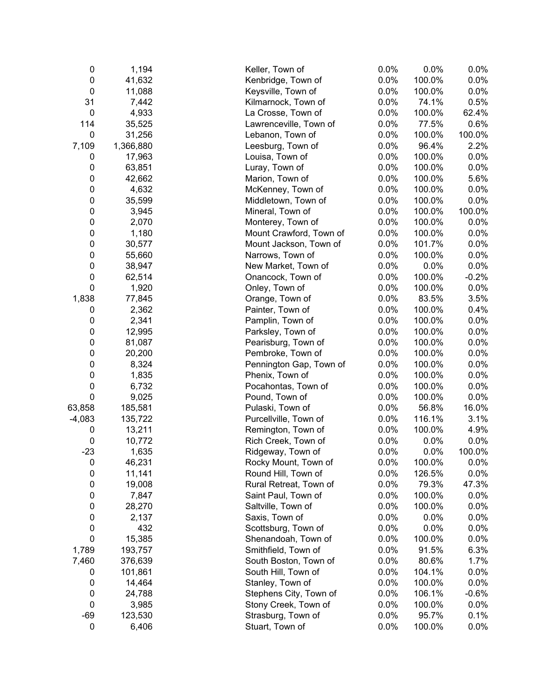| 0                        | 1,194              | Keller, Town of                            | 0.0% | 0.0%            | 0.0%    |
|--------------------------|--------------------|--------------------------------------------|------|-----------------|---------|
| $\pmb{0}$                | 41,632             | Kenbridge, Town of                         | 0.0% | 100.0%          | 0.0%    |
| $\pmb{0}$                | 11,088             | Keysville, Town of                         | 0.0% | 100.0%          | 0.0%    |
| 31                       | 7,442              | Kilmarnock, Town of                        | 0.0% | 74.1%           | 0.5%    |
| $\mathbf 0$              | 4,933              | La Crosse, Town of                         | 0.0% | 100.0%          | 62.4%   |
| 114                      | 35,525             | Lawrenceville, Town of                     | 0.0% | 77.5%           | 0.6%    |
| $\mathbf 0$              | 31,256             | Lebanon, Town of                           | 0.0% | 100.0%          | 100.0%  |
| 7,109                    | 1,366,880          | Leesburg, Town of                          | 0.0% | 96.4%           | 2.2%    |
| 0                        | 17,963             | Louisa, Town of                            | 0.0% | 100.0%          | 0.0%    |
| 0                        | 63,851             | Luray, Town of                             | 0.0% | 100.0%          | 0.0%    |
| 0                        | 42,662             | Marion, Town of                            | 0.0% | 100.0%          | 5.6%    |
| 0                        | 4,632              | McKenney, Town of                          | 0.0% | 100.0%          | 0.0%    |
| 0                        | 35,599             | Middletown, Town of                        | 0.0% | 100.0%          | 0.0%    |
| 0                        | 3,945              | Mineral, Town of                           | 0.0% | 100.0%          | 100.0%  |
| 0                        | 2,070              | Monterey, Town of                          | 0.0% | 100.0%          | 0.0%    |
| $\pmb{0}$                | 1,180              | Mount Crawford, Town of                    | 0.0% | 100.0%          | 0.0%    |
| $\pmb{0}$                | 30,577             | Mount Jackson, Town of                     | 0.0% | 101.7%          | 0.0%    |
| $\pmb{0}$                | 55,660             | Narrows, Town of                           | 0.0% | 100.0%          | 0.0%    |
| $\pmb{0}$                | 38,947             | New Market, Town of                        | 0.0% | 0.0%            | 0.0%    |
| $\boldsymbol{0}$         | 62,514             | Onancock, Town of                          | 0.0% | 100.0%          | $-0.2%$ |
| $\mathbf 0$              | 1,920              | Onley, Town of                             | 0.0% | 100.0%          | 0.0%    |
| 1,838                    | 77,845             | Orange, Town of                            | 0.0% | 83.5%           | 3.5%    |
| 0                        | 2,362              | Painter, Town of                           | 0.0% | 100.0%          | 0.4%    |
| 0                        | 2,341              | Pamplin, Town of                           | 0.0% | 100.0%          | 0.0%    |
| $\pmb{0}$                | 12,995             | Parksley, Town of                          | 0.0% | 100.0%          | 0.0%    |
| $\pmb{0}$                | 81,087             | Pearisburg, Town of                        | 0.0% | 100.0%          | 0.0%    |
| 0                        | 20,200             | Pembroke, Town of                          | 0.0% | 100.0%          | 0.0%    |
| 0                        | 8,324              | Pennington Gap, Town of                    | 0.0% | 100.0%          | 0.0%    |
| $\boldsymbol{0}$         | 1,835              | Phenix, Town of                            | 0.0% | 100.0%          | 0.0%    |
| $\mathbf 0$              | 6,732              | Pocahontas, Town of                        | 0.0% | 100.0%          | 0.0%    |
| $\mathbf 0$              | 9,025              | Pound, Town of                             | 0.0% | 100.0%          | 0.0%    |
| 63,858                   | 185,581            | Pulaski, Town of                           | 0.0% | 56.8%           | 16.0%   |
| $-4,083$                 | 135,722            | Purcellville, Town of                      | 0.0% | 116.1%          | 3.1%    |
| 0                        | 13,211             | Remington, Town of                         | 0.0% | 100.0%          | 4.9%    |
| $\pmb{0}$                | 10,772             | Rich Creek, Town of                        | 0.0% | 0.0%            | 0.0%    |
| $-23$                    | 1,635              | Ridgeway, Town of                          | 0.0% | 0.0%            | 100.0%  |
| 0                        | 46,231             | Rocky Mount, Town of                       | 0.0% | 100.0%          | 0.0%    |
| $\pmb{0}$                | 11,141             | Round Hill, Town of                        | 0.0% | 126.5%          | 0.0%    |
| $\pmb{0}$                | 19,008             | Rural Retreat, Town of                     | 0.0% | 79.3%           | 47.3%   |
| $\pmb{0}$                | 7,847              | Saint Paul, Town of                        | 0.0% | 100.0%          | 0.0%    |
| $\pmb{0}$                | 28,270             | Saltville, Town of                         | 0.0% | 100.0%          | 0.0%    |
| 0                        | 2,137              | Saxis, Town of                             | 0.0% | 0.0%            | 0.0%    |
| 0                        | 432                | Scottsburg, Town of                        | 0.0% | 0.0%            | 0.0%    |
| 0                        |                    |                                            | 0.0% | 100.0%          | 0.0%    |
|                          | 15,385<br>193,757  | Shenandoah, Town of<br>Smithfield, Town of | 0.0% | 91.5%           | 6.3%    |
| 1,789                    |                    | South Boston, Town of                      | 0.0% |                 |         |
| 7,460                    | 376,639<br>101,861 |                                            | 0.0% | 80.6%<br>104.1% | 1.7%    |
| 0                        |                    | South Hill, Town of                        |      |                 | 0.0%    |
| 0                        | 14,464             | Stanley, Town of                           | 0.0% | 100.0%          | 0.0%    |
| $\pmb{0}$<br>$\mathbf 0$ | 24,788             | Stephens City, Town of                     | 0.0% | 106.1%          | $-0.6%$ |
|                          | 3,985              | Stony Creek, Town of                       | 0.0% | 100.0%          | 0.0%    |
| $-69$                    | 123,530            | Strasburg, Town of                         | 0.0% | 95.7%           | 0.1%    |
| $\pmb{0}$                | 6,406              | Stuart, Town of                            | 0.0% | 100.0%          | 0.0%    |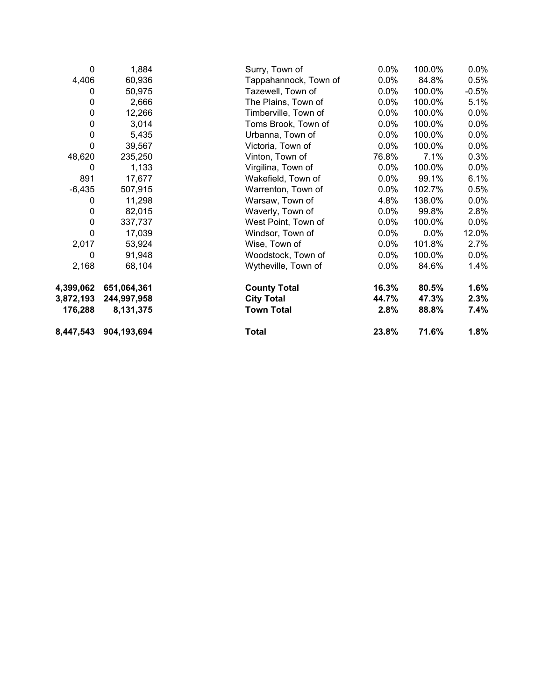| 8,447,543 | 904,193,694 | Total                 | 23.8%   | 71.6%  | 1.8%    |
|-----------|-------------|-----------------------|---------|--------|---------|
| 176,288   | 8,131,375   | <b>Town Total</b>     | 2.8%    | 88.8%  | 7.4%    |
| 3,872,193 | 244,997,958 | <b>City Total</b>     | 44.7%   | 47.3%  | 2.3%    |
| 4,399,062 | 651,064,361 | <b>County Total</b>   | 16.3%   | 80.5%  | 1.6%    |
| 2,168     | 68,104      | Wytheville, Town of   | 0.0%    | 84.6%  | 1.4%    |
| 0         | 91,948      | Woodstock, Town of    | 0.0%    | 100.0% | $0.0\%$ |
| 2,017     | 53,924      | Wise, Town of         | $0.0\%$ | 101.8% | 2.7%    |
| 0         | 17,039      | Windsor, Town of      | 0.0%    | 0.0%   | 12.0%   |
| $\pmb{0}$ | 337,737     | West Point, Town of   | $0.0\%$ | 100.0% | $0.0\%$ |
| 0         | 82,015      | Waverly, Town of      | $0.0\%$ | 99.8%  | 2.8%    |
| 0         | 11,298      | Warsaw, Town of       | 4.8%    | 138.0% | $0.0\%$ |
| $-6,435$  | 507,915     | Warrenton, Town of    | 0.0%    | 102.7% | 0.5%    |
| 891       | 17,677      | Wakefield, Town of    | $0.0\%$ | 99.1%  | 6.1%    |
| 0         | 1,133       | Virgilina, Town of    | $0.0\%$ | 100.0% | $0.0\%$ |
| 48,620    | 235,250     | Vinton, Town of       | 76.8%   | 7.1%   | 0.3%    |
| 0         | 39,567      | Victoria, Town of     | 0.0%    | 100.0% | $0.0\%$ |
| $\pmb{0}$ | 5,435       | Urbanna, Town of      | $0.0\%$ | 100.0% | $0.0\%$ |
| $\pmb{0}$ | 3,014       | Toms Brook, Town of   | $0.0\%$ | 100.0% | $0.0\%$ |
| $\pmb{0}$ | 12,266      | Timberville, Town of  | $0.0\%$ | 100.0% | $0.0\%$ |
| 0         | 2,666       | The Plains, Town of   | 0.0%    | 100.0% | 5.1%    |
| 0         | 50,975      | Tazewell, Town of     | 0.0%    | 100.0% | $-0.5%$ |
| 4,406     | 60,936      | Tappahannock, Town of | 0.0%    | 84.8%  | 0.5%    |
| 0         | 1,884       | Surry, Town of        | 0.0%    | 100.0% | $0.0\%$ |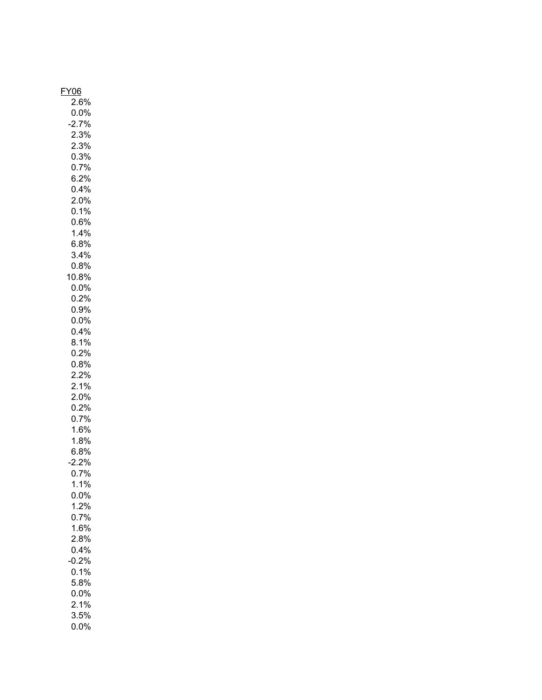| <u>Y06</u><br>ŀ |
|-----------------|
|                 |
| $2.6\%$         |
| $0.0\%$         |
|                 |
| $-2.7%$         |
| 2.3%            |
| 2.3%            |
|                 |
| 0.3%            |
| $0.7\%$         |
|                 |
| 6.2%            |
| 0.4%            |
|                 |
| 2.0%            |
| 0.1%            |
|                 |
| 0.6%            |
| 1.4%            |
|                 |
| 6.8%            |
| 3.4%            |
| 0.8%            |
|                 |
| 10.8%           |
| $0.0\%$         |
|                 |
| $0.2\%$         |
| 0.9%            |
|                 |
| $0.0\%$         |
| 0.4%            |
|                 |
| 8.1%            |
| 0.2%            |
| 0.8%            |
|                 |
| $2.2\%$         |
| 2.1%            |
|                 |
| 2.0%            |
| 0.2%            |
|                 |
| 0.7%            |
| 1.6%            |
|                 |
| 1.8%            |
| 6.8%            |
|                 |
| $-2.2%$         |
| 0.7%            |
| 1.1%            |
|                 |
| $0.0\%$         |
| 1.2%            |
|                 |
| 0.7%            |
| 1.6%            |
|                 |
| 2.8%            |
| 0.4%            |
|                 |
| 0.2%            |
| 0.1%            |
| 5.8%            |
|                 |
| $0.0\%$         |
| 2.1%            |
|                 |
| 3.5%            |
| $0.0\%$         |
|                 |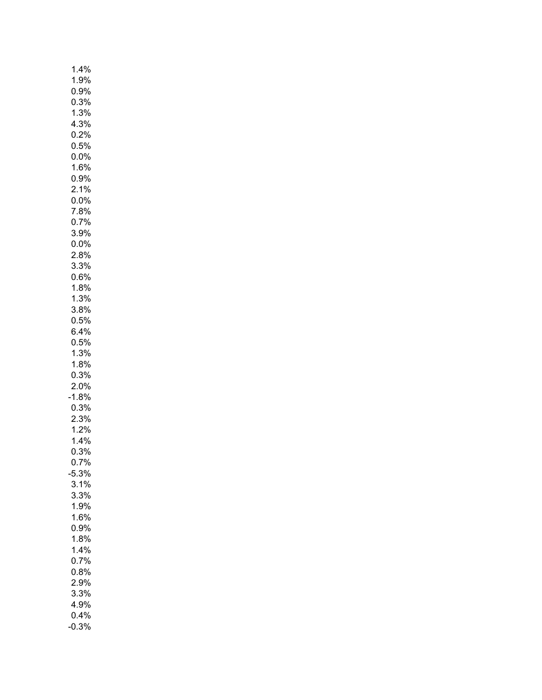| 1.4%    |
|---------|
| 1.9%    |
| $0.9\%$ |
| 0.3%    |
| 1.3%    |
| 4.3%    |
| 0.2%    |
| $0.5\%$ |
| $0.0\%$ |
| 1.6%    |
| 0.9%    |
| 2.1%    |
| $0.0\%$ |
| 7.8%    |
| 0.7%    |
| 3.9%    |
| $0.0\%$ |
| 2.8%    |
| 3.3%    |
| 0.6%    |
| 1.8%    |
| 1.3%    |
| 3.8%    |
| 0.5%    |
| $6.4\%$ |
| 0.5%    |
| 1.3%    |
| 1.8%    |
| 0.3%    |
| $2.0\%$ |
| 1.8%    |
| 0.3%    |
| 2.3%    |
| 1.2%    |
| 1.4%    |
| 0.3%    |
| 0.7%    |
| 5.3%    |
| 3.1%    |
| 3.3%    |
| 1.9%    |
| 1.6%    |
| 0.9%    |
| 1.8%    |
| 1.4%    |
| 0.7%    |
| 0.8%    |
| 2.9%    |
| 3.3%    |
| 4.9%    |
| 0.4%    |
| 0.3%    |
|         |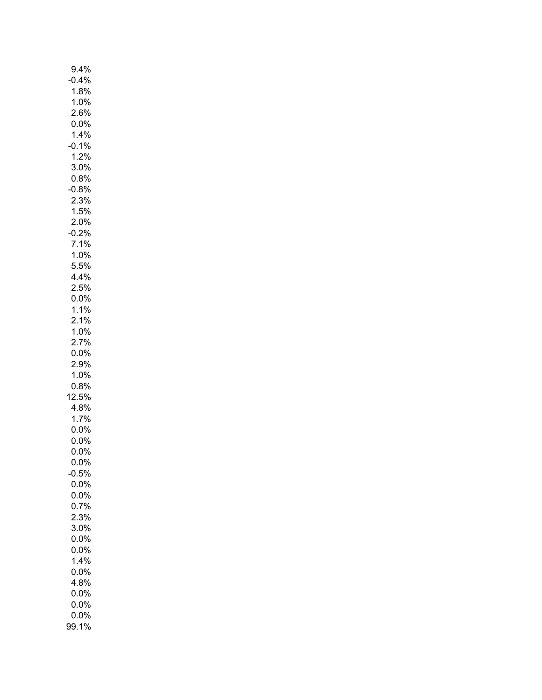| 9.4%            |
|-----------------|
| 0.4%            |
| 1.8%            |
| 1.0%            |
| $2.6\%$         |
| $0.0\%$         |
| $1.4\%$         |
| 0.1%            |
| 1.2%            |
| 3.0%            |
| 0.8%            |
| 0.8%            |
| 2.3%            |
| 1.5%            |
| $2.0\%$         |
| $-0.2%$         |
| 7.1%            |
| 1.0%            |
| $5.5\%$         |
| 4.4%            |
| $2.5\%$         |
| $0.0\%$         |
| $1.1\%$         |
| 2.1%            |
| $1.0\%$         |
| 2.7%            |
| $0.0\%$<br>2.9% |
| 1.0%            |
| 0.8%            |
| 12.5%           |
| 4.8%            |
| 1.7%            |
| $0.0\%$         |
| 0.0%            |
| $0.0\%$         |
| $0.0\%$         |
| 0.5%            |
| $0.0\%$         |
| $0.0\%$         |
| 0.7%            |
| 2.3%            |
| 3.0%            |
| 0.0%            |
| 0.0%            |
| 1.4%            |
| $0.0\%$         |
| 4.8%            |
| $0.0\%$         |
| $0.0\%$         |
| $0.0\%$         |
| 99.1%           |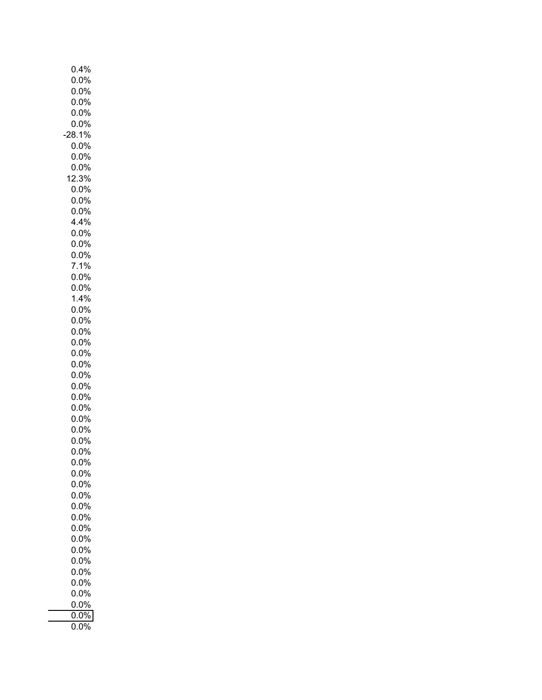| 0.4%               |
|--------------------|
| 0.0%               |
| 0.0%               |
| 0.0%               |
| 0.0%               |
| 0.0%               |
| 28.1%              |
| 0.0%<br>0.0%       |
| 0.0%               |
| 12.3%              |
| $0.0\%$            |
| $0.0\%$            |
| $0.0\%$            |
| 4.4%               |
| $0.0\%$            |
| $0.0\%$            |
| $0.0\%$            |
| 7.1%               |
| $0.0\%$            |
| $0.0\%$            |
| 1.4%               |
| $0.0\%$            |
| 0.0%               |
| 0.0%               |
| 0.0%               |
| $0.0\%$            |
| $0.0\%$<br>$0.0\%$ |
| $0.0\%$            |
| $0.0\%$            |
| 0.0%               |
| $0.0\%$            |
| $0.0\%$            |
| $0.0\%$            |
| 0.0%               |
| 0.0%               |
| $0.0\%$            |
| 0.0%               |
| 0.0%               |
| 0.0%               |
| 0.0%               |
| 0.0%               |
| 0.0%               |
| $0.0\%$            |
| $0.0\%$            |
| 0.0%               |
| 0.0%               |
| $0.0\%$<br>$0.0\%$ |
| $0.0\%$            |
| 0.0%               |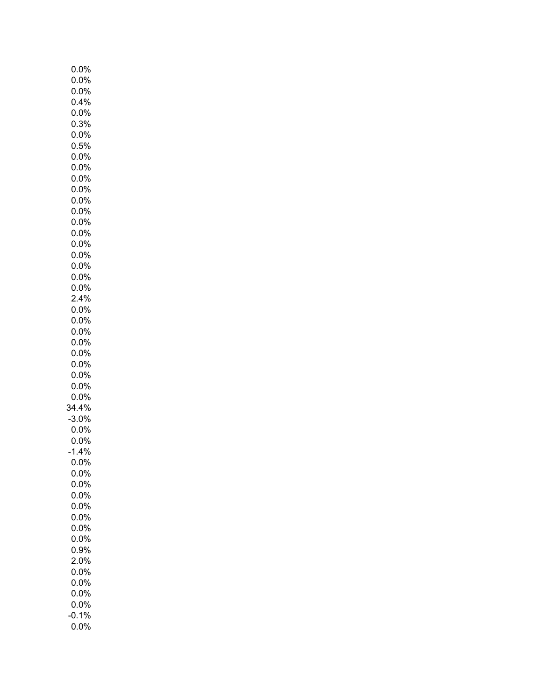|         | $0.0\%$ |  |
|---------|---------|--|
|         |         |  |
|         | $0.0\%$ |  |
|         | 0.0%    |  |
|         | 0.4%    |  |
|         | $0.0\%$ |  |
|         |         |  |
|         | $0.3\%$ |  |
| 0.0%    |         |  |
| 0.5%    |         |  |
| 0.0%    |         |  |
| 0.0%    |         |  |
| $0.0\%$ |         |  |
|         |         |  |
| $0.0\%$ |         |  |
| $0.0\%$ |         |  |
| $0.0\%$ |         |  |
| 0.0%    |         |  |
| 0.0%    |         |  |
|         |         |  |
| 0.0%    |         |  |
|         | $0.0\%$ |  |
|         | $0.0\%$ |  |
|         | $0.0\%$ |  |
|         | $0.0\%$ |  |
|         |         |  |
|         | 2.4%    |  |
| 0.0%    |         |  |
| 0.0%    |         |  |
| 0.0%    |         |  |
| 0.0%    |         |  |
| 0.0%    |         |  |
|         |         |  |
| $0.0\%$ |         |  |
|         | $0.0\%$ |  |
|         | $0.0\%$ |  |
|         | $0.0\%$ |  |
| 34.4%   |         |  |
|         |         |  |
| 3.0%    |         |  |
|         | $0.0\%$ |  |
|         | $0.0\%$ |  |
| $-1.4%$ |         |  |
|         | 0.0%    |  |
|         | 0.0%    |  |
|         |         |  |
|         | 0.0%    |  |
|         | $0.0\%$ |  |
|         | 0.0%    |  |
|         | 0.0%    |  |
|         | $0.0\%$ |  |
|         | $0.0\%$ |  |
|         |         |  |
|         | 0.9%    |  |
|         | $2.0\%$ |  |
|         | $0.0\%$ |  |
|         | $0.0\%$ |  |
|         |         |  |
|         | $0.0\%$ |  |
|         | $0.0\%$ |  |
| 0.1%    |         |  |
|         | 0.0%    |  |